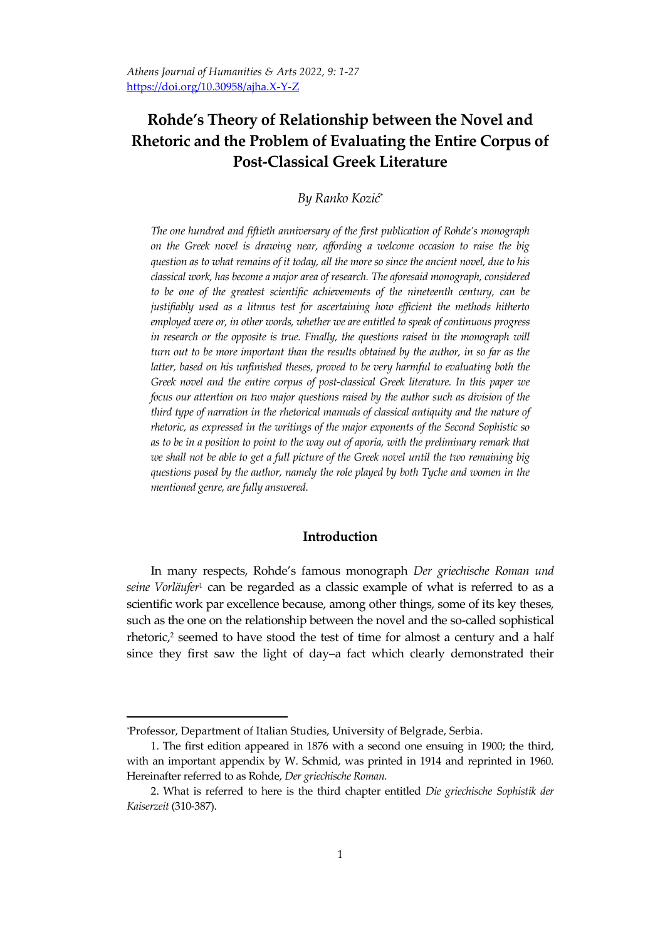# **Rohde's Theory of Relationship between the Novel and Rhetoric and the Problem of Evaluating the Entire Corpus of Post-Classical Greek Literature**

*By Ranko Kozić*\*

*The one hundred and fiftieth anniversary of the first publication of Rohde's monograph on the Greek novel is drawing near, affording a welcome occasion to raise the big question as to what remains of it today, all the more so since the ancient novel, due to his classical work, has become a major area of research. The aforesaid monograph, considered to be one of the greatest scientific achievements of the nineteenth century, can be justifiably used as a litmus test for ascertaining how efficient the methods hitherto employed were or, in other words, whether we are entitled to speak of continuous progress in research or the opposite is true. Finally, the questions raised in the monograph will turn out to be more important than the results obtained by the author, in so far as the*  latter, based on his unfinished theses, proved to be very harmful to evaluating both the *Greek novel and the entire corpus of post-classical Greek literature. In this paper we focus our attention on two major questions raised by the author such as division of the third type of narration in the rhetorical manuals of classical antiquity and the nature of rhetoric, as expressed in the writings of the major exponents of the Second Sophistic so*  as to be in a position to point to the way out of aporia, with the preliminary remark that *we shall not be able to get a full picture of the Greek novel until the two remaining big questions posed by the author, namely the role played by both Tyche and women in the mentioned genre, are fully answered.*

### **Introduction**

In many respects, Rohde's famous monograph *Der griechische Roman und seine Vorläufer*<sup>1</sup> can be regarded as a classic example of what is referred to as a scientific work par excellence because, among other things, some of its key theses, such as the one on the relationship between the novel and the so-called sophistical rhetoric, $2$  seemed to have stood the test of time for almost a century and a half since they first saw the light of day–a fact which clearly demonstrated their

*<sup>\*</sup>*Professor, Department of Italian Studies, University of Belgrade, Serbia.

<sup>1.</sup> The first edition appeared in 1876 with a second one ensuing in 1900; the third, with an important appendix by W. Schmid, was printed in 1914 and reprinted in 1960. Hereinafter referred to as Rohde, *Der griechische Roman.*

<sup>2.</sup> What is referred to here is the third chapter entitled *Die griechische Sophistik der Kaiserzeit* (310-387).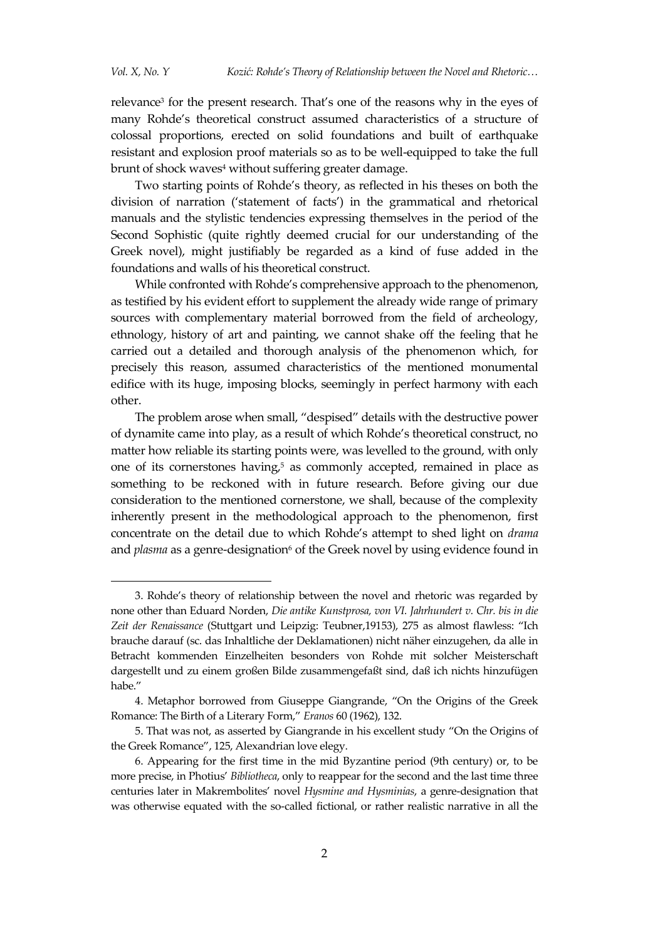1

relevance<sup>3</sup> for the present research. That's one of the reasons why in the eyes of many Rohde's theoretical construct assumed characteristics of a structure of colossal proportions, erected on solid foundations and built of earthquake resistant and explosion proof materials so as to be well-equipped to take the full brunt of shock waves<sup>4</sup> without suffering greater damage.

Two starting points of Rohde's theory, as reflected in his theses on both the division of narration ('statement of facts') in the grammatical and rhetorical manuals and the stylistic tendencies expressing themselves in the period of the Second Sophistic (quite rightly deemed crucial for our understanding of the Greek novel), might justifiably be regarded as a kind of fuse added in the foundations and walls of his theoretical construct.

While confronted with Rohde's comprehensive approach to the phenomenon, as testified by his evident effort to supplement the already wide range of primary sources with complementary material borrowed from the field of archeology, ethnology, history of art and painting, we cannot shake off the feeling that he carried out a detailed and thorough analysis of the phenomenon which, for precisely this reason, assumed characteristics of the mentioned monumental edifice with its huge, imposing blocks, seemingly in perfect harmony with each other.

The problem arose when small, "despised" details with the destructive power of dynamite came into play, as a result of which Rohde's theoretical construct, no matter how reliable its starting points were, was levelled to the ground, with only one of its cornerstones having, <sup>5</sup> as commonly accepted, remained in place as something to be reckoned with in future research. Before giving our due consideration to the mentioned cornerstone, we shall, because of the complexity inherently present in the methodological approach to the phenomenon, first concentrate on the detail due to which Rohde's attempt to shed light on *drama* and *plasma* as a genre-designation<sup>6</sup> of the Greek novel by using evidence found in

<sup>3.</sup> Rohde's theory of relationship between the novel and rhetoric was regarded by none other than Eduard Norden, *Die antike Kunstprosa, von VI. Jahrhundert v. Chr. bis in die Zeit der Renaissance* (Stuttgart und Leipzig: Teubner,19153), 275 as almost flawless: "Ich brauche darauf (sc. das Inhaltliche der Deklamationen) nicht näher einzugehen, da alle in Betracht kommenden Einzelheiten besonders von Rohde mit solcher Meisterschaft dargestellt und zu einem großen Bilde zusammengefaßt sind, daß ich nichts hinzufügen habe."

<sup>4.</sup> Metaphor borrowed from Giuseppe Giangrande, "On the Origins of the Greek Romance: The Birth of a Literary Form," *Eranos* 60 (1962), 132.

<sup>5.</sup> That was not, as asserted by Giangrande in his excellent study "On the Origins of the Greek Romance", 125, Alexandrian love elegy.

<sup>6.</sup> Appearing for the first time in the mid Byzantine period (9th century) or, to be more precise, in Photius' *Bibliotheca*, only to reappear for the second and the last time three centuries later in Makrembolites' novel *Hysmine and Hysminias*, a genre-designation that was otherwise equated with the so-called fictional, or rather realistic narrative in all the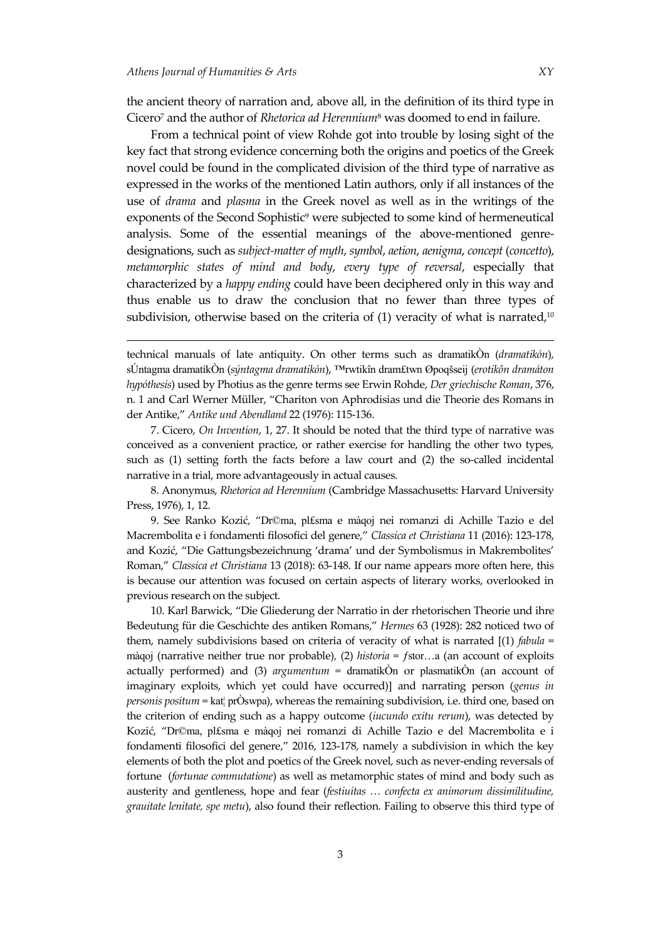the ancient theory of narration and, above all, in the definition of its third type in Cicero<sup>7</sup> and the author of *Rhetorica ad Herennium*<sup>8</sup> was doomed to end in failure.

From a technical point of view Rohde got into trouble by losing sight of the key fact that strong evidence concerning both the origins and poetics of the Greek novel could be found in the complicated division of the third type of narrative as expressed in the works of the mentioned Latin authors, only if all instances of the use of *drama* and *plasma* in the Greek novel as well as in the writings of the exponents of the Second Sophistic<sup>9</sup> were subjected to some kind of hermeneutical analysis. Some of the essential meanings of the above-mentioned genredesignations, such as *subject-matter of myth*, *symbol*, *aetion*, *aenigma*, *concept* (*concetto*), *metamorphic states of mind and body*, *every type of reversal*, especially that characterized by a *happy ending* could have been deciphered only in this way and thus enable us to draw the conclusion that no fewer than three types of subdivision, otherwise based on the criteria of  $(1)$  veracity of what is narrated,<sup>10</sup>

technical manuals of late antiquity. On other terms such as dramatikÒn (*dramatikón*), sÚntagma dramatikÒn (*sýntagma dramatikón*), ™rwtikîn dram£twn Øpoqšseij (*erotikôn dramáton hypóthesis*) used by Photius as the genre terms see Erwin Rohde, *Der griechische Roman*, 376, n. 1 and Carl Werner Müller, "Chariton von Aphrodisias und die Theorie des Romans in der Antike," *Antike und Abendland* 22 (1976): 115-136.

7. Cicero, *On Invention*, 1, 27. It should be noted that the third type of narrative was conceived as a convenient practice, or rather exercise for handling the other two types, such as (1) setting forth the facts before a law court and (2) the so-called incidental narrative in a trial, more advantageously in actual causes.

8. Anonymus, *Rhetorica ad Herennium* (Cambridge Massachusetts: Harvard University Press, 1976), 1, 12.

9. See Ranko Kozić, "Dr©ma, pl£sma e màqoj nei romanzi di Achille Tazio e del Macrembolita e i fondamenti filosofici del genere," *Classica et Christiana* 11 (2016): 123-178, and Kozić, "Die Gattungsbezeichnung 'drama' und der Symbolismus in Makrembolites' Roman," *Classica et Christiana* 13 (2018): 63-148. If our name appears more often here, this is because our attention was focused on certain aspects of literary works, overlooked in previous research on the subject.

10. Karl Barwick, "Die Gliederung der Narratio in der rhetorischen Theorie und ihre Bedeutung für die Geschichte des antiken Romans," *Hermes* 63 (1928): 282 noticed two of them, namely subdivisions based on criteria of veracity of what is narrated [(1) *fabula* = màqoj (narrative neither true nor probable)*,* (2) *historia* = ƒstor…a (an account of exploits actually performed) and (3) *argumentum* = dramatikÒn or plasmatikÒn (an account of imaginary exploits, which yet could have occurred)] and narrating person (*genus in personis positum* = kat¦ prÒswpa), whereas the remaining subdivision, i.e. third one, based on the criterion of ending such as a happy outcome (*iucundo exitu rerum*), was detected by Kozić, "Dr©ma, pl£sma e màqoj nei romanzi di Achille Tazio e del Macrembolita e i fondamenti filosofici del genere," 2016, 123-178, namely a subdivision in which the key elements of both the plot and poetics of the Greek novel, such as never-ending reversals of fortune (*fortunae commutatione*) as well as metamorphic states of mind and body such as austerity and gentleness, hope and fear (*festiuitas … confecta ex animorum dissimilitudine, grauitate lenitate, spe metu*), also found their reflection. Failing to observe this third type of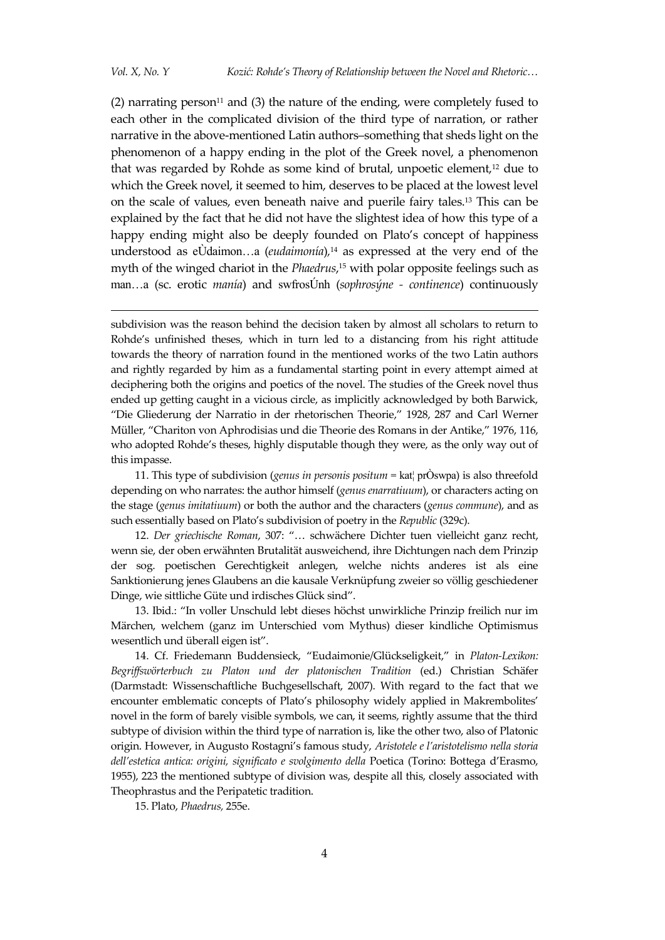-

(2) narrating person<sup>11</sup> and (3) the nature of the ending, were completely fused to each other in the complicated division of the third type of narration, or rather narrative in the above-mentioned Latin authors–something that sheds light on the phenomenon of a happy ending in the plot of the Greek novel, a phenomenon that was regarded by Rohde as some kind of brutal, unpoetic element, $12$  due to which the Greek novel, it seemed to him, deserves to be placed at the lowest level on the scale of values, even beneath naive and puerile fairy tales.<sup>13</sup> This can be explained by the fact that he did not have the slightest idea of how this type of a happy ending might also be deeply founded on Plato's concept of happiness understood as eÙdaimon…a (*eudaimonía*)*,* <sup>14</sup> as expressed at the very end of the myth of the winged chariot in the *Phaedrus*, <sup>15</sup> with polar opposite feelings such as man…a (sc. erotic *manía*) and swfrosÚnh (*sophrosýne - continence*) continuously

subdivision was the reason behind the decision taken by almost all scholars to return to Rohde's unfinished theses, which in turn led to a distancing from his right attitude towards the theory of narration found in the mentioned works of the two Latin authors and rightly regarded by him as a fundamental starting point in every attempt aimed at deciphering both the origins and poetics of the novel. The studies of the Greek novel thus ended up getting caught in a vicious circle, as implicitly acknowledged by both Barwick, "Die Gliederung der Narratio in der rhetorischen Theorie," 1928, 287 and Carl Werner Müller, "Chariton von Aphrodisias und die Theorie des Romans in der Antike," 1976, 116, who adopted Rohde's theses, highly disputable though they were, as the only way out of this impasse.

11. This type of subdivision (*genus in personis positum =* kat¦ prÒswpa) is also threefold depending on who narrates: the author himself (*genus enarratiuum*), or characters acting on the stage (*genus imitatiuum*) or both the author and the characters (*genus commune*), and as such essentially based on Plato's subdivision of poetry in the *Republic* (329c).

12. *Der griechische Roman*, 307: "… schwächere Dichter tuen vielleicht ganz recht, wenn sie, der oben erwähnten Brutalität ausweichend, ihre Dichtungen nach dem Prinzip der sog. poetischen Gerechtigkeit anlegen, welche nichts anderes ist als eine Sanktionierung jenes Glaubens an die kausale Verknüpfung zweier so völlig geschiedener Dinge, wie sittliche Güte und irdisches Glück sind".

13. Ibid.: "In voller Unschuld lebt dieses höchst unwirkliche Prinzip freilich nur im Märchen, welchem (ganz im Unterschied vom Mythus) dieser kindliche Optimismus wesentlich und überall eigen ist".

14. Cf. Friedemann Buddensieck, "Eudaimonie/Glückseligkeit," in *Platon-Lexikon: Begriffswörterbuch zu Platon und der platonischen Tradition* (ed.) Christian Schäfer (Darmstadt: Wissenschaftliche Buchgesellschaft, 2007). With regard to the fact that we encounter emblematic concepts of Plato's philosophy widely applied in Makrembolites' novel in the form of barely visible symbols, we can, it seems, rightly assume that the third subtype of division within the third type of narration is, like the other two, also of Platonic origin. However, in Augusto Rostagni's famous study, *Aristotele e l'aristotelismo nella storia dell'estetica antica: origini, significato e svolgimento della* Poetica (Torino: Bottega d'Erasmo, 1955), 223 the mentioned subtype of division was, despite all this, closely associated with Theophrastus and the Peripatetic tradition.

15. Plato, *Phaedrus,* 255e.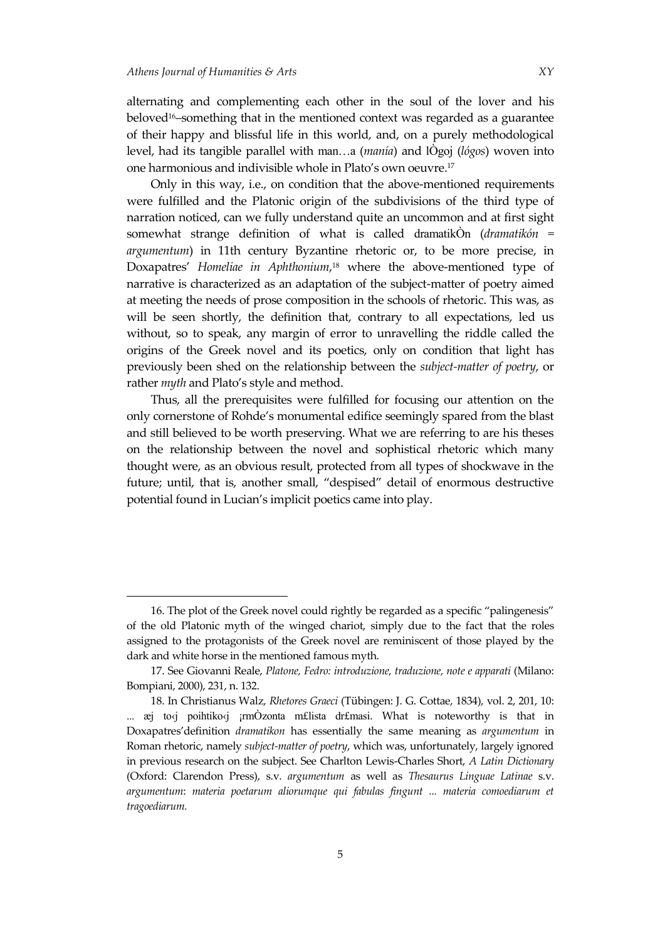alternating and complementing each other in the soul of the lover and his beloved16–something that in the mentioned context was regarded as a guarantee of their happy and blissful life in this world, and, on a purely methodological level, had its tangible parallel with man…a (*manía*) and lÒgoj (*lógos*) woven into one harmonious and indivisible whole in Plato's own oeuvre.<sup>17</sup>

Only in this way, i.e., on condition that the above-mentioned requirements were fulfilled and the Platonic origin of the subdivisions of the third type of narration noticed, can we fully understand quite an uncommon and at first sight somewhat strange definition of what is called dramatikÒn (*dramatikón = argumentum*) in 11th century Byzantine rhetoric or, to be more precise, in Doxapatres' *Homeliae in Aphthonium*, <sup>18</sup> where the above-mentioned type of narrative is characterized as an adaptation of the subject-matter of poetry aimed at meeting the needs of prose composition in the schools of rhetoric. This was, as will be seen shortly, the definition that, contrary to all expectations, led us without, so to speak, any margin of error to unravelling the riddle called the origins of the Greek novel and its poetics, only on condition that light has previously been shed on the relationship between the *subject-matter of poetry*, or rather *myth* and Plato's style and method.

Thus, all the prerequisites were fulfilled for focusing our attention on the only cornerstone of Rohde's monumental edifice seemingly spared from the blast and still believed to be worth preserving. What we are referring to are his theses on the relationship between the novel and sophistical rhetoric which many thought were, as an obvious result, protected from all types of shockwave in the future; until, that is, another small, "despised" detail of enormous destructive potential found in Lucian's implicit poetics came into play.

<sup>16.</sup> The plot of the Greek novel could rightly be regarded as a specific "palingenesis" of the old Platonic myth of the winged chariot, simply due to the fact that the roles assigned to the protagonists of the Greek novel are reminiscent of those played by the dark and white horse in the mentioned famous myth.

<sup>17.</sup> See Giovanni Reale, *Platone, Fedro: introduzione, traduzione, note e apparati* (Milano: Bompiani, 2000), 231, n. 132.

<sup>18.</sup> In Christianus Walz, *Rhetores Graeci* (Tübingen: J. G. Cottae, 1834), vol. 2, 201, 10: ...  $\bar{e}$  to $\bar{e}$  poihtiko $\bar{e}$  im $\dot{O}$ zonta m£lista dr£masi. What is noteworthy is that in Doxapatres'definition *dramatikon* has essentially the same meaning as *argumentum* in Roman rhetoric, namely *subject-matter of poetry*, which was, unfortunately, largely ignored in previous research on the subject. See Charlton Lewis-Charles Short, *A Latin Dictionary*  (Oxford: Clarendon Press), s.v. *argumentum* as well as *Thesaurus Linguae Latinae* s.v. *argumentum*: *materia poetarum aliorumque qui fabulas fingunt ... materia comoediarum et tragoediarum.*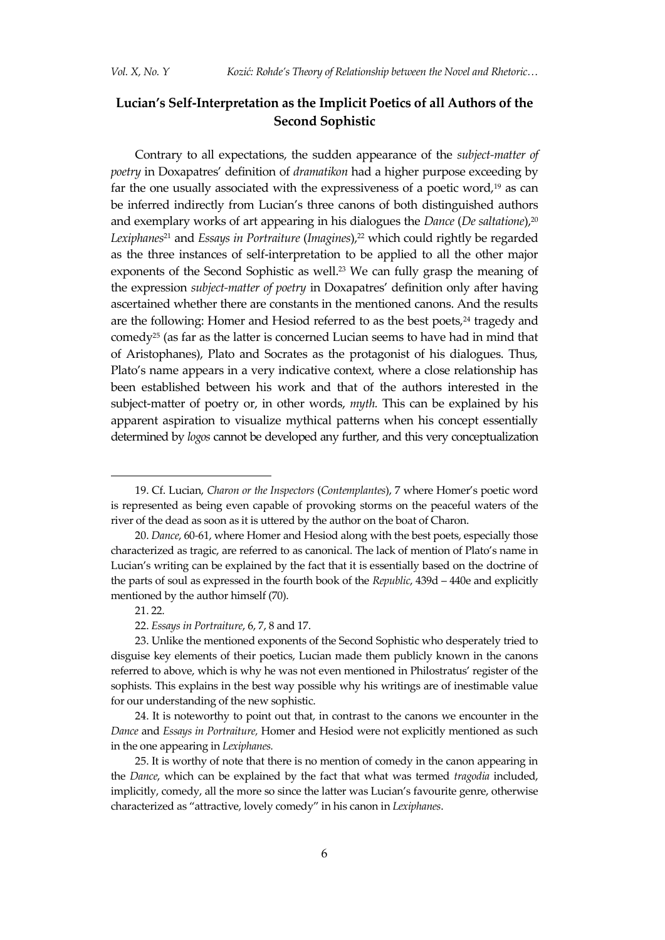# **Lucian's Self-Interpretation as the Implicit Poetics of all Authors of the Second Sophistic**

Contrary to all expectations, the sudden appearance of the *subject-matter of poetry* in Doxapatres' definition of *dramatikon* had a higher purpose exceeding by far the one usually associated with the expressiveness of a poetic word,<sup>19</sup> as can be inferred indirectly from Lucian's three canons of both distinguished authors and exemplary works of art appearing in his dialogues the *Dance* (*De saltatione*), 20 *Lexiphanes*<sup>21</sup> and *Essays in Portraiture* (*Imagines*), <sup>22</sup> which could rightly be regarded as the three instances of self-interpretation to be applied to all the other major exponents of the Second Sophistic as well. <sup>23</sup> We can fully grasp the meaning of the expression *subject-matter of poetry* in Doxapatres' definition only after having ascertained whether there are constants in the mentioned canons. And the results are the following: Homer and Hesiod referred to as the best poets,<sup>24</sup> tragedy and comedy<sup>25</sup> (as far as the latter is concerned Lucian seems to have had in mind that of Aristophanes), Plato and Socrates as the protagonist of his dialogues. Thus, Plato's name appears in a very indicative context, where a close relationship has been established between his work and that of the authors interested in the subject-matter of poetry or, in other words, *myth.* This can be explained by his apparent aspiration to visualize mythical patterns when his concept essentially determined by *logos* cannot be developed any further, and this very conceptualization

<sup>19.</sup> Cf. Lucian, *Charon or the Inspectors* (*Contemplantes*), 7 where Homer's poetic word is represented as being even capable of provoking storms on the peaceful waters of the river of the dead as soon as it is uttered by the author on the boat of Charon.

<sup>20.</sup> *Dance*, 60*-*61, where Homer and Hesiod along with the best poets, especially those characterized as tragic, are referred to as canonical. The lack of mention of Plato's name in Lucian's writing can be explained by the fact that it is essentially based on the doctrine of the parts of soul as expressed in the fourth book of the *Republic*, 439d – 440e and explicitly mentioned by the author himself (70).

<sup>21.</sup> 22.

<sup>22.</sup> *Essays in Portraiture*, 6, 7, 8 and 17.

<sup>23.</sup> Unlike the mentioned exponents of the Second Sophistic who desperately tried to disguise key elements of their poetics, Lucian made them publicly known in the canons referred to above, which is why he was not even mentioned in Philostratus' register of the sophists. This explains in the best way possible why his writings are of inestimable value for our understanding of the new sophistic.

<sup>24.</sup> It is noteworthy to point out that, in contrast to the canons we encounter in the *Dance* and *Essays in Portraiture,* Homer and Hesiod were not explicitly mentioned as such in the one appearing in *Lexiphanes.*

<sup>25.</sup> It is worthy of note that there is no mention of comedy in the canon appearing in the *Dance*, which can be explained by the fact that what was termed *tragodia* included, implicitly, comedy, all the more so since the latter was Lucian's favourite genre, otherwise characterized as "attractive, lovely comedy" in his canon in *Lexiphanes*.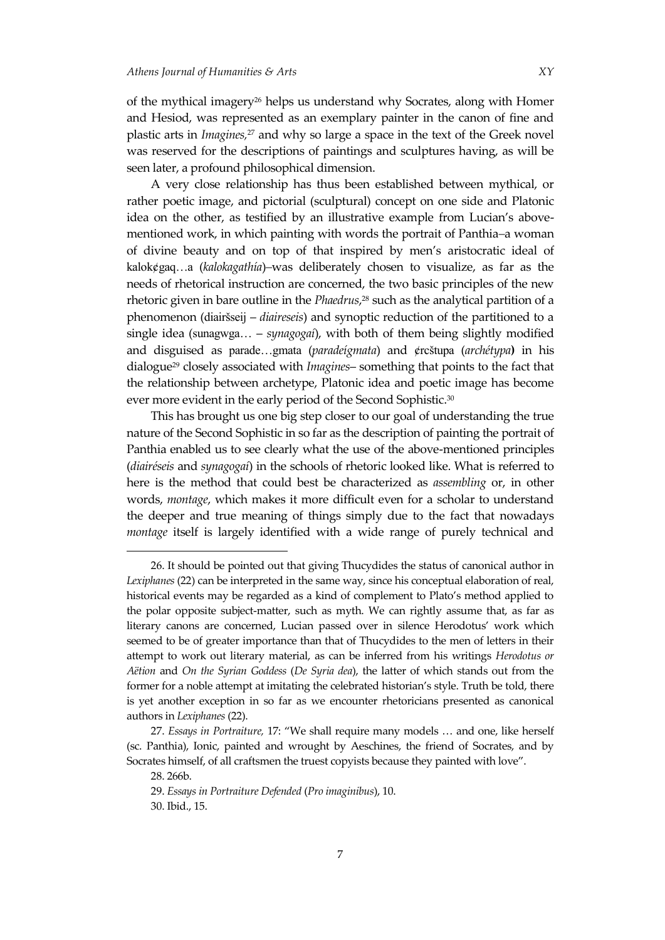of the mythical imagery<sup>26</sup> helps us understand why Socrates, along with Homer and Hesiod, was represented as an exemplary painter in the canon of fine and plastic arts in *Imagines,*<sup>27</sup> and why so large a space in the text of the Greek novel was reserved for the descriptions of paintings and sculptures having, as will be seen later, a profound philosophical dimension.

A very close relationship has thus been established between mythical, or rather poetic image, and pictorial (sculptural) concept on one side and Platonic idea on the other, as testified by an illustrative example from Lucian's abovementioned work, in which painting with words the portrait of Panthia*–*a woman of divine beauty and on top of that inspired by men's aristocratic ideal of kalok¢gaq…a (*kalokagathía*)*–*was deliberately chosen to visualize, as far as the needs of rhetorical instruction are concerned, the two basic principles of the new rhetoric given in bare outline in the *Phaedrus*, <sup>28</sup> such as the analytical partition of a phenomenon (diairšseij – *diaireseis*) and synoptic reduction of the partitioned to a single idea (sunagwga… – *synagogaí*), with both of them being slightly modified and disguised as parade…gmata (*paradeígmata*) and ¢rcštupa (*archétypa***)** in his dialogue<sup>29</sup> closely associated with *Imagines*– something that points to the fact that the relationship between archetype, Platonic idea and poetic image has become ever more evident in the early period of the Second Sophistic.<sup>30</sup>

This has brought us one big step closer to our goal of understanding the true nature of the Second Sophistic in so far as the description of painting the portrait of Panthia enabled us to see clearly what the use of the above-mentioned principles (*diairéseis* and *synagogaí*) in the schools of rhetoric looked like. What is referred to here is the method that could best be characterized as *assembling* or, in other words, *montage*, which makes it more difficult even for a scholar to understand the deeper and true meaning of things simply due to the fact that nowadays *montage* itself is largely identified with a wide range of purely technical and

<sup>26.</sup> It should be pointed out that giving Thucydides the status of canonical author in *Lexiphanes* (22) can be interpreted in the same way, since his conceptual elaboration of real, historical events may be regarded as a kind of complement to Plato's method applied to the polar opposite subject-matter, such as myth. We can rightly assume that, as far as literary canons are concerned, Lucian passed over in silence Herodotus' work which seemed to be of greater importance than that of Thucydides to the men of letters in their attempt to work out literary material, as can be inferred from his writings *Herodotus or Aëtion* and *On the Syrian Goddess* (*De Syria dea*), the latter of which stands out from the former for a noble attempt at imitating the celebrated historian's style. Truth be told, there is yet another exception in so far as we encounter rhetoricians presented as canonical authors in *Lexiphanes* (22).

<sup>27.</sup> *Essays in Portraiture,* 17: "We shall require many models … and one, like herself (sc. Panthia), Ionic, painted and wrought by Aeschines, the friend of Socrates, and by Socrates himself, of all craftsmen the truest copyists because they painted with love".

<sup>28.</sup> 266b.

<sup>29.</sup> *Essays in Portraiture Defended* (*Pro imaginibus*), 10.

<sup>30.</sup> Ibid., 15.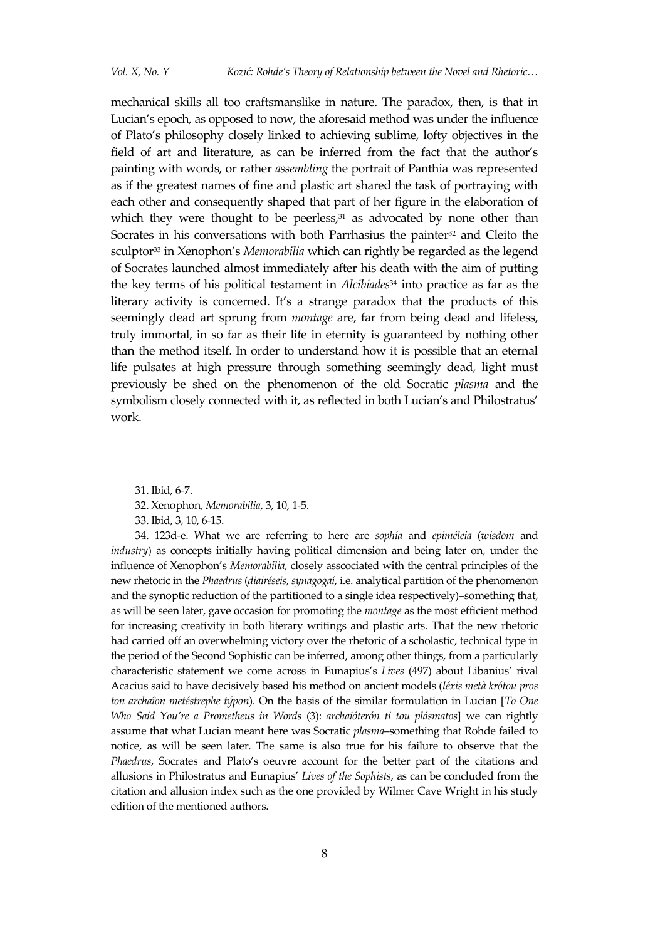mechanical skills all too craftsmanslike in nature. The paradox, then, is that in Lucian's epoch, as opposed to now, the aforesaid method was under the influence of Plato's philosophy closely linked to achieving sublime, lofty objectives in the field of art and literature, as can be inferred from the fact that the author's painting with words, or rather *assembling* the portrait of Panthia was represented as if the greatest names of fine and plastic art shared the task of portraying with each other and consequently shaped that part of her figure in the elaboration of which they were thought to be peerless, $31$  as advocated by none other than Socrates in his conversations with both Parrhasius the painter $32$  and Cleito the sculptor<sup>33</sup> in Xenophon's *Memorabilia* which can rightly be regarded as the legend of Socrates launched almost immediately after his death with the aim of putting the key terms of his political testament in *Alcibiades*<sup>34</sup> into practice as far as the literary activity is concerned. It's a strange paradox that the products of this seemingly dead art sprung from *montage* are, far from being dead and lifeless, truly immortal, in so far as their life in eternity is guaranteed by nothing other than the method itself. In order to understand how it is possible that an eternal life pulsates at high pressure through something seemingly dead, light must previously be shed on the phenomenon of the old Socratic *plasma* and the symbolism closely connected with it, as reflected in both Lucian's and Philostratus' work.

<sup>31.</sup> Ibid, 6-7.

<sup>32.</sup> Xenophon, *Memorabilia*, 3, 10, 1-5.

<sup>33.</sup> Ibid, 3, 10, 6-15.

<sup>34. 123</sup>d-e. What we are referring to here are *sophía* and *epiméleia* (*wisdom* and *industry*) as concepts initially having political dimension and being later on, under the influence of Xenophon's *Memorabilia*, closely asscociated with the central principles of the new rhetoric in the *Phaedrus* (*diairéseis, synagogaí*, i.e. analytical partition of the phenomenon and the synoptic reduction of the partitioned to a single idea respectively)–something that, as will be seen later, gave occasion for promoting the *montage* as the most efficient method for increasing creativity in both literary writings and plastic arts. That the new rhetoric had carried off an overwhelming victory over the rhetoric of a scholastic, technical type in the period of the Second Sophistic can be inferred, among other things, from a particularly characteristic statement we come across in Eunapius's *Lives* (497) about Libanius' rival Acacius said to have decisively based his method on ancient models (*léxis metà krótou pros ton archaȋon metéstrephe týpon*). On the basis of the similar formulation in Lucian [*To One Who Said You're a Prometheus in Words* (3): *archaióterón ti tou plásmatos*] we can rightly assume that what Lucian meant here was Socratic *plasma*–something that Rohde failed to notice, as will be seen later. The same is also true for his failure to observe that the *Phaedrus*, Socrates and Plato's oeuvre account for the better part of the citations and allusions in Philostratus and Eunapius' *Lives of the Sophists*, as can be concluded from the citation and allusion index such as the one provided by Wilmer Cave Wright in his study edition of the mentioned authors.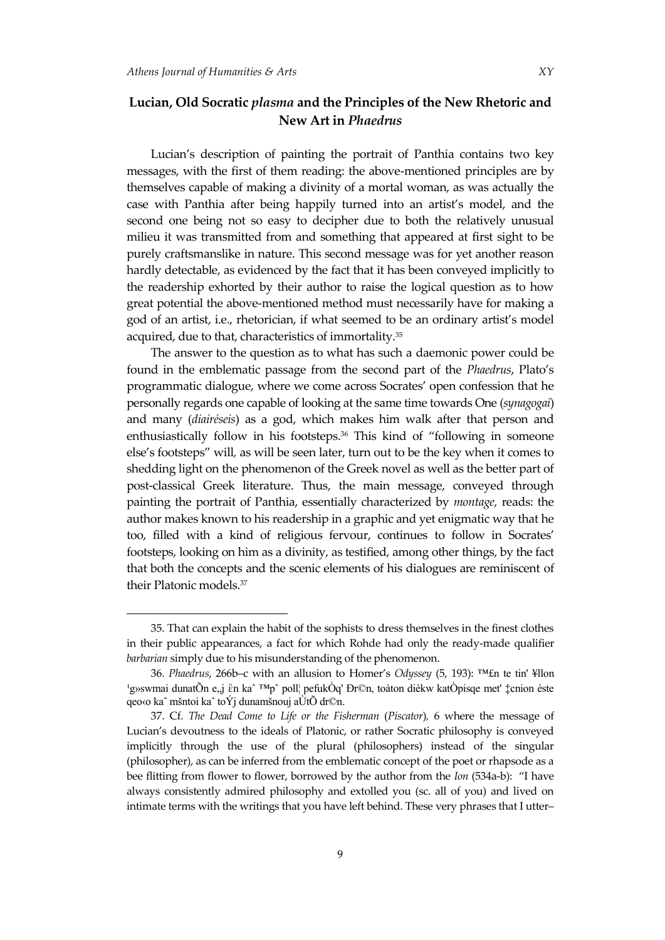Lucian's description of painting the portrait of Panthia contains two key messages, with the first of them reading: the above-mentioned principles are by themselves capable of making a divinity of a mortal woman, as was actually the case with Panthia after being happily turned into an artist's model, and the second one being not so easy to decipher due to both the relatively unusual milieu it was transmitted from and something that appeared at first sight to be purely craftsmanslike in nature. This second message was for yet another reason hardly detectable, as evidenced by the fact that it has been conveyed implicitly to the readership exhorted by their author to raise the logical question as to how great potential the above-mentioned method must necessarily have for making a god of an artist, i.e., rhetorician, if what seemed to be an ordinary artist's model acquired, due to that, characteristics of immortality.<sup>35</sup>

The answer to the question as to what has such a daemonic power could be found in the emblematic passage from the second part of the *Phaedrus*, Plato's programmatic dialogue, where we come across Socrates' open confession that he personally regards one capable of looking at the same time towards One (*synagogaí*) and many (*diairéseis*) as a god, which makes him walk after that person and enthusiastically follow in his footsteps.<sup>36</sup> This kind of "following in someone else's footsteps" will*,* as will be seen later, turn out to be the key when it comes to shedding light on the phenomenon of the Greek novel as well as the better part of post-classical Greek literature. Thus, the main message, conveyed through painting the portrait of Panthia, essentially characterized by *montage,* reads: the author makes known to his readership in a graphic and yet enigmatic way that he too, filled with a kind of religious fervour, continues to follow in Socrates' footsteps, looking on him as a divinity, as testified, among other things, by the fact that both the concepts and the scenic elements of his dialogues are reminiscent of their Platonic models.<sup>37</sup>

<sup>35.</sup> That can explain the habit of the sophists to dress themselves in the finest clothes in their public appearances, a fact for which Rohde had only the ready-made qualifier *barbarian* simply due to his misunderstanding of the phenomenon.

<sup>36.</sup> *Phaedrus*, 266b–c with an allusion to Homer's *Odyssey* (5, 193): ™£n te tin' ¥llon <sup>1</sup>g»swmai dunatÕn e, j ἓn ka<sup>∼ ™</sup>p^ poll¦ pefukÒq' Đr©n, toàton dièkw katÒpisqe met' ‡cnion éste qeo‹o kaˆ mšntoi kaˆ toÝj dunamšnouj aÙtÕ dr©n.

<sup>37.</sup> Cf. *The Dead Come to Life or the Fisherman* (*Piscator*)*,* 6 where the message of Lucian's devoutness to the ideals of Platonic, or rather Socratic philosophy is conveyed implicitly through the use of the plural (philosophers) instead of the singular (philosopher), as can be inferred from the emblematic concept of the poet or rhapsode as a bee flitting from flower to flower, borrowed by the author from the *Ion* (534a-b): "I have always consistently admired philosophy and extolled you (sc. all of you) and lived on intimate terms with the writings that you have left behind. These very phrases that I utter–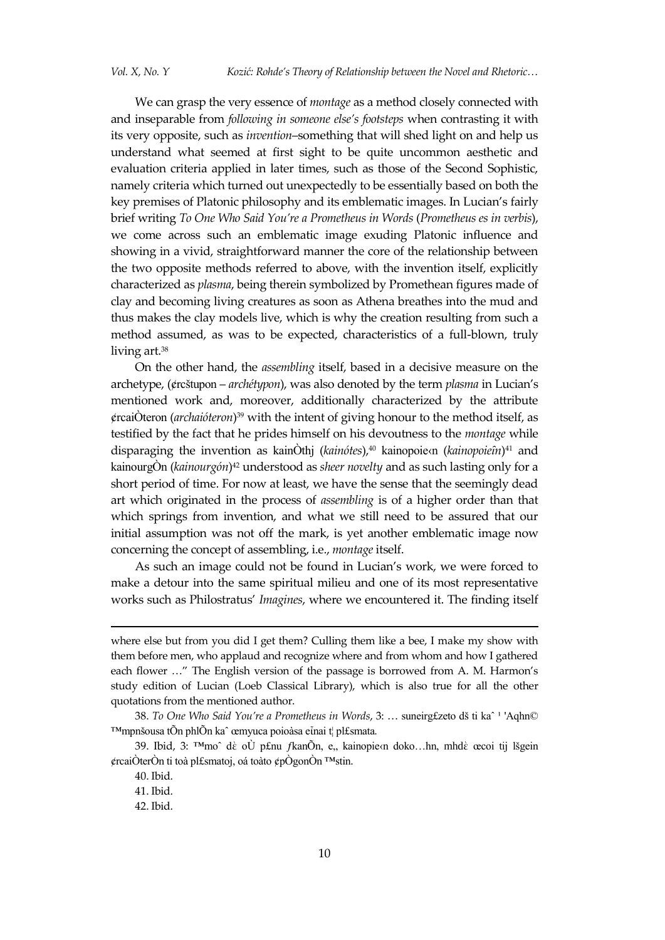We can grasp the very essence of *montage* as a method closely connected with and inseparable from *following in someone else's footsteps* when contrasting it with its very opposite, such as *invention*–something that will shed light on and help us understand what seemed at first sight to be quite uncommon aesthetic and evaluation criteria applied in later times, such as those of the Second Sophistic, namely criteria which turned out unexpectedly to be essentially based on both the key premises of Platonic philosophy and its emblematic images. In Lucian's fairly brief writing *To One Who Said You're a Prometheus in Words* (*Prometheus es in verbis*), we come across such an emblematic image exuding Platonic influence and showing in a vivid, straightforward manner the core of the relationship between the two opposite methods referred to above, with the invention itself, explicitly characterized as *plasma*, being therein symbolized by Promethean figures made of clay and becoming living creatures as soon as Athena breathes into the mud and thus makes the clay models live, which is why the creation resulting from such a method assumed, as was to be expected, characteristics of a full-blown, truly living art.<sup>38</sup>

On the other hand, the *assembling* itself, based in a decisive measure on the archetype, (¢rcštupon – *archétypon*), was also denoted by the term *plasma* in Lucian's mentioned work and, moreover, additionally characterized by the attribute ¢rcaiÒteron (*archaióteron*) <sup>39</sup> with the intent of giving honour to the method itself, as testified by the fact that he prides himself on his devoutness to the *montage* while disparaging the invention as kainOthj (kainótes),<sup>40</sup> kainopoie*cn* (kainopoieîn)<sup>41</sup> and kainourgÒn (*kainourgón*) <sup>42</sup> understood as *sheer novelty* and as such lasting only for a short period of time. For now at least, we have the sense that the seemingly dead art which originated in the process of *assembling* is of a higher order than that which springs from invention, and what we still need to be assured that our initial assumption was not off the mark, is yet another emblematic image now concerning the concept of assembling, i.e., *montage* itself.

As such an image could not be found in Lucian's work, we were forced to make a detour into the same spiritual milieu and one of its most representative works such as Philostratus' *Imagines*, where we encountered it. The finding itself

-

where else but from you did I get them? Culling them like a bee, I make my show with them before men, who applaud and recognize where and from whom and how I gathered each flower …" The English version of the passage is borrowed from A. M. Harmon's study edition of Lucian (Loeb Classical Library), which is also true for all the other quotations from the mentioned author.

<sup>38.</sup> To One Who Said You're a Prometheus in Words, 3: ... suneirg£zeto dš ti ka<sup>^ 1</sup> 'Aqhn© ™mpnšousa tÕn phlÕn kaˆ œmyuca poioàsa eἶnai t¦ pl£smata*.*

<sup>39.</sup> Ibid, 3: <sup>™</sup>moˆ dὲ oÙ p£nu *f*kanÕn, e,, kainopie/n doko…hn, mhdὲ œcoi tij lšgein ¢rcaiÒterÒn ti toà pl£smatoj, oá toàto ¢pÒgonÒn ™stin.

<sup>40.</sup> Ibid.

<sup>41.</sup> Ibid.

<sup>42.</sup> Ibid.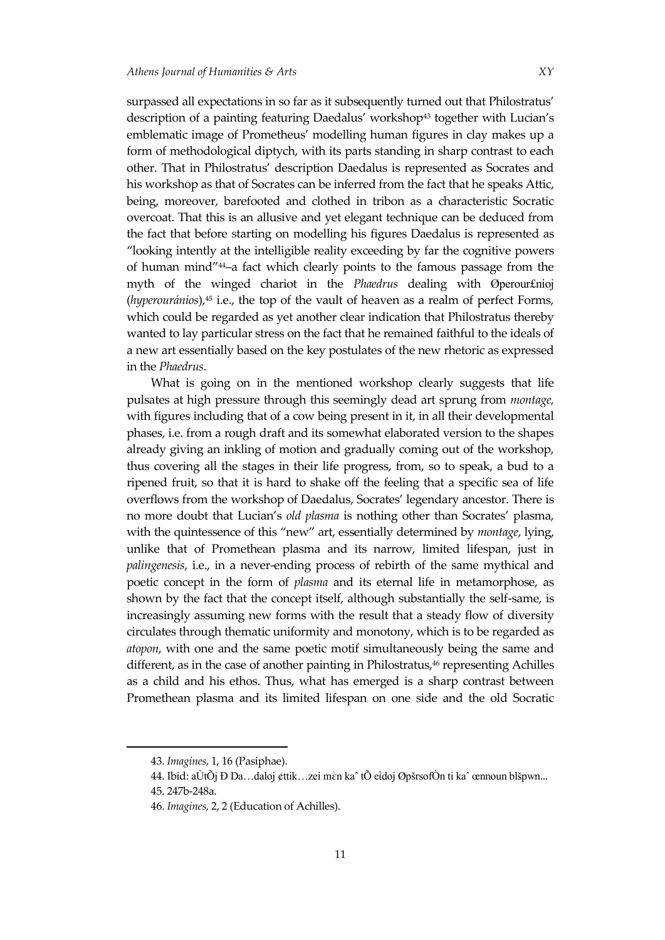surpassed all expectations in so far as it subsequently turned out that Philostratus' description of a painting featuring Daedalus' workshop<sup>43</sup> together with Lucian's emblematic image of Prometheus' modelling human figures in clay makes up a form of methodological diptych, with its parts standing in sharp contrast to each other. That in Philostratus' description Daedalus is represented as Socrates and his workshop as that of Socrates can be inferred from the fact that he speaks Attic, being, moreover, barefooted and clothed in tribon as a characteristic Socratic overcoat. That this is an allusive and yet elegant technique can be deduced from the fact that before starting on modelling his figures Daedalus is represented as "looking intently at the intelligible reality exceeding by far the cognitive powers of human mind"44–a fact which clearly points to the famous passage from the myth of the winged chariot in the *Phaedrus* dealing with Øperour£nioj (*hyperouránios*),<sup>45</sup> i.e., the top of the vault of heaven as a realm of perfect Forms, which could be regarded as yet another clear indication that Philostratus thereby wanted to lay particular stress on the fact that he remained faithful to the ideals of a new art essentially based on the key postulates of the new rhetoric as expressed in the *Phaedrus*.

What is going on in the mentioned workshop clearly suggests that life pulsates at high pressure through this seemingly dead art sprung from *montage,*  with figures including that of a cow being present in it, in all their developmental phases, i.e. from a rough draft and its somewhat elaborated version to the shapes already giving an inkling of motion and gradually coming out of the workshop, thus covering all the stages in their life progress, from, so to speak, a bud to a ripened fruit, so that it is hard to shake off the feeling that a specific sea of life overflows from the workshop of Daedalus, Socrates' legendary ancestor. There is no more doubt that Lucian's *old plasma* is nothing other than Socrates' plasma, with the quintessence of this "new" art, essentially determined by *montage*, lying, unlike that of Promethean plasma and its narrow, limited lifespan, just in *palingenesis*, i.e., in a never-ending process of rebirth of the same mythical and poetic concept in the form of *plasma* and its eternal life in metamorphose, as shown by the fact that the concept itself, although substantially the self-same, is increasingly assuming new forms with the result that a steady flow of diversity circulates through thematic uniformity and monotony, which is to be regarded as *atopon*, with one and the same poetic motif simultaneously being the same and different, as in the case of another painting in Philostratus, <sup>46</sup> representing Achilles as a child and his ethos. Thus, what has emerged is a sharp contrast between Promethean plasma and its limited lifespan on one side and the old Socratic

<sup>43.</sup> *Imagines*, 1, 16 (Pasiphae).

<sup>44.</sup> Ibid: aÙtÕj Ð Da…daloj ¢ttik…zei mὲn kaˆ tÕ eἶdoj ØpšrsofÒn ti kaˆ œnnoun blšpwn...

<sup>45. 247</sup>b-248a.

<sup>46.</sup> *Imagines,* 2, 2 (Education of Achilles).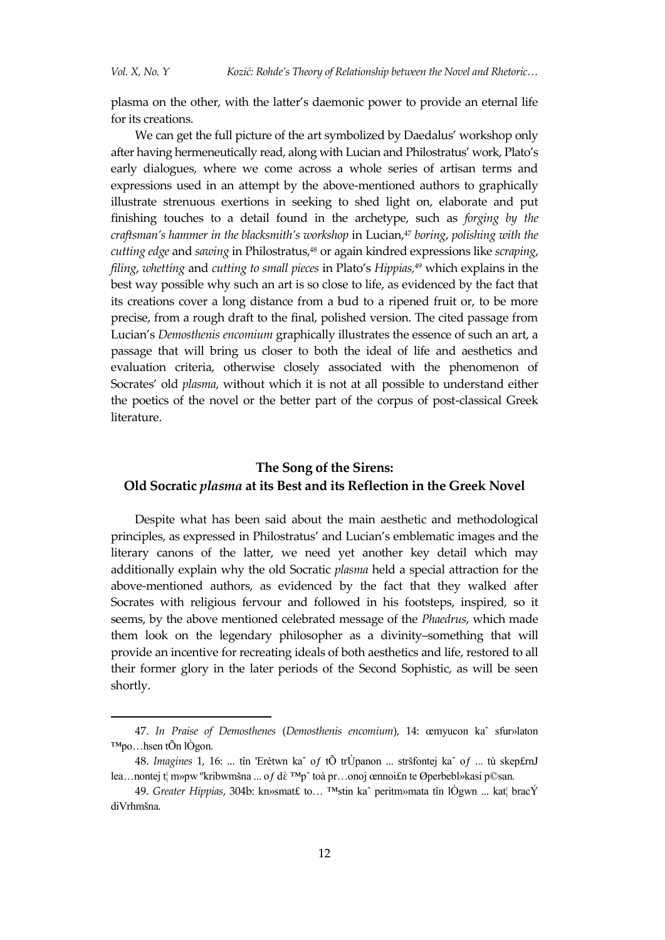plasma on the other, with the latter's daemonic power to provide an eternal life for its creations.

We can get the full picture of the art symbolized by Daedalus' workshop only after having hermeneutically read, along with Lucian and Philostratus' work, Plato's early dialogues, where we come across a whole series of artisan terms and expressions used in an attempt by the above-mentioned authors to graphically illustrate strenuous exertions in seeking to shed light on, elaborate and put finishing touches to a detail found in the archetype, such as *forging by the craftsman's hammer in the blacksmith's workshop* in Lucian,<sup>47</sup> *boring*, *polishing with the cutting edge* and *sawing* in Philostratus,<sup>48</sup> or again kindred expressions like *scraping*, *filing*, *whetting* and *cutting to small pieces* in Plato's *Hippias,*<sup>49</sup> which explains in the best way possible why such an art is so close to life, as evidenced by the fact that its creations cover a long distance from a bud to a ripened fruit or, to be more precise, from a rough draft to the final, polished version. The cited passage from Lucian's *Demosthenis encomium* graphically illustrates the essence of such an art, a passage that will bring us closer to both the ideal of life and aesthetics and evaluation criteria, otherwise closely associated with the phenomenon of Socrates' old *plasma*, without which it is not at all possible to understand either the poetics of the novel or the better part of the corpus of post-classical Greek literature.

# **The Song of the Sirens: Old Socratic** *plasma* **at its Best and its Reflection in the Greek Novel**

Despite what has been said about the main aesthetic and methodological principles, as expressed in Philostratus' and Lucian's emblematic images and the literary canons of the latter, we need yet another key detail which may additionally explain why the old Socratic *plasma* held a special attraction for the above-mentioned authors, as evidenced by the fact that they walked after Socrates with religious fervour and followed in his footsteps, inspired, so it seems, by the above mentioned celebrated message of the *Phaedrus*, which made them look on the legendary philosopher as a divinity–something that will provide an incentive for recreating ideals of both aesthetics and life, restored to all their former glory in the later periods of the Second Sophistic, as will be seen shortly.

<sup>47.</sup> *In Praise of Demosthenes* (*Demosthenis encomium*), 14: œmyucon kaˆ sfur»laton ™po…hsen tÕn lÒgon*.*

<sup>48.</sup> *Imagines* 1, 16: ... tîn 'Erètwn kaˆ oƒ tÕ trÚpanon ... stršfontej kaˆ oƒ ... tù skep£rnJ lea…nontej t¦ m»pw ºkribwmšna ... oƒ dὲ ™pˆ toà pr…onoj œnnoi£n te Øperbebl»kasi p©san*.*

<sup>49.</sup> *Greater Hippias*, 304b: kn»smat£ to… ™stin kaˆ peritm»mata tîn lÒgwn ... kat¦ bracÝ diVrhmšna*.*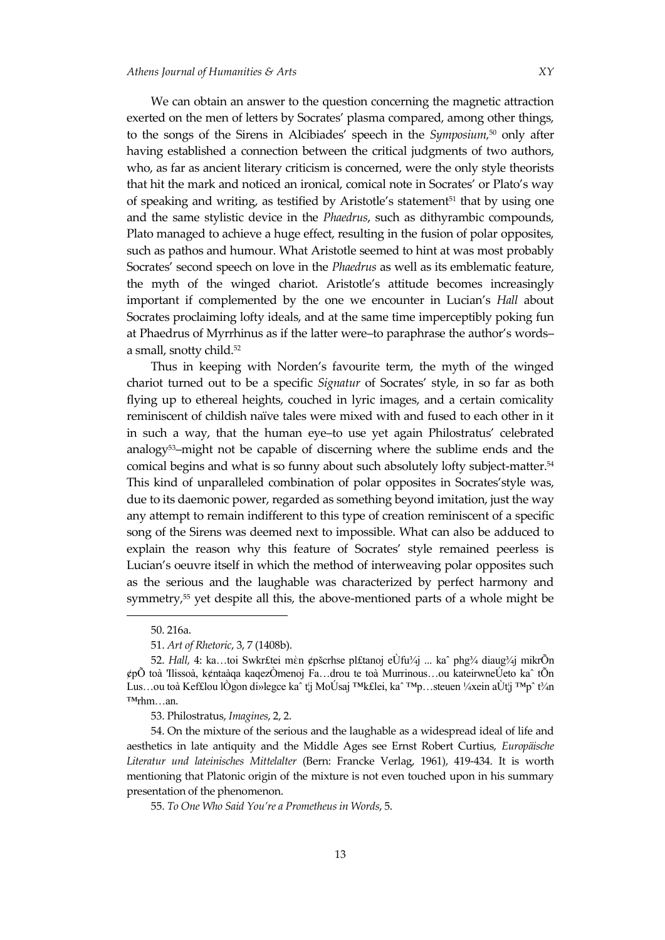We can obtain an answer to the question concerning the magnetic attraction exerted on the men of letters by Socrates' plasma compared, among other things, to the songs of the Sirens in Alcibiades' speech in the *Symposium,*<sup>50</sup> only after having established a connection between the critical judgments of two authors, who, as far as ancient literary criticism is concerned, were the only style theorists that hit the mark and noticed an ironical, comical note in Socrates' or Plato's way of speaking and writing, as testified by Aristotle's statement<sup>51</sup> that by using one and the same stylistic device in the *Phaedrus*, such as dithyrambic compounds, Plato managed to achieve a huge effect, resulting in the fusion of polar opposites, such as pathos and humour. What Aristotle seemed to hint at was most probably Socrates' second speech on love in the *Phaedrus* as well as its emblematic feature, the myth of the winged chariot. Aristotle's attitude becomes increasingly important if complemented by the one we encounter in Lucian's *Hall* about Socrates proclaiming lofty ideals, and at the same time imperceptibly poking fun at Phaedrus of Myrrhinus as if the latter were–to paraphrase the author's words– a small, snotty child.<sup>52</sup>

Thus in keeping with Norden's favourite term, the myth of the winged chariot turned out to be a specific *Signatur* of Socrates' style, in so far as both flying up to ethereal heights, couched in lyric images, and a certain comicality reminiscent of childish naïve tales were mixed with and fused to each other in it in such a way, that the human eye–to use yet again Philostratus' celebrated analogy53–might not be capable of discerning where the sublime ends and the comical begins and what is so funny about such absolutely lofty subject-matter.<sup>54</sup> This kind of unparalleled combination of polar opposites in Socrates'style was, due to its daemonic power, regarded as something beyond imitation, just the way any attempt to remain indifferent to this type of creation reminiscent of a specific song of the Sirens was deemed next to impossible. What can also be adduced to explain the reason why this feature of Socrates' style remained peerless is Lucian's oeuvre itself in which the method of interweaving polar opposites such as the serious and the laughable was characterized by perfect harmony and symmetry,<sup>55</sup> yet despite all this, the above-mentioned parts of a whole might be

<sup>50.</sup> 216a.

<sup>51.</sup> *Art of Rhetoric*, 3, 7 (1408b).

<sup>52.</sup> *Hall,* 4: ka…toi Swkr£tei mὲn ¢pšcrhse pl£tanoj eÙfu¾j ... kaˆ phg¾ diaug¾j mikrÕn ¢pÕ toà 'Ilissoà, k¢ntaàqa kaqezÒmenoj Fa…drou te toà Murrinous…ou kateirwneÚeto kaˆ tÕn Lus…ou toà Kef£lou lÒgon di»legce kaˆ t¦j MoÚsaj ™k£lei, kaˆ ™p…steuen ¼xein aÙt¦j ™pˆ t¾n ™rhm…an.

<sup>53.</sup> Philostratus, *Imagines*, 2, 2.

<sup>54.</sup> On the mixture of the serious and the laughable as a widespread ideal of life and aesthetics in late antiquity and the Middle Ages see Ernst Robert Curtius, *Europäische Literatur und lateinisches Mittelalter* (Bern: Francke Verlag, 1961), 419-434. It is worth mentioning that Platonic origin of the mixture is not even touched upon in his summary presentation of the phenomenon.

<sup>55.</sup> *To One Who Said You're a Prometheus in Words*, 5.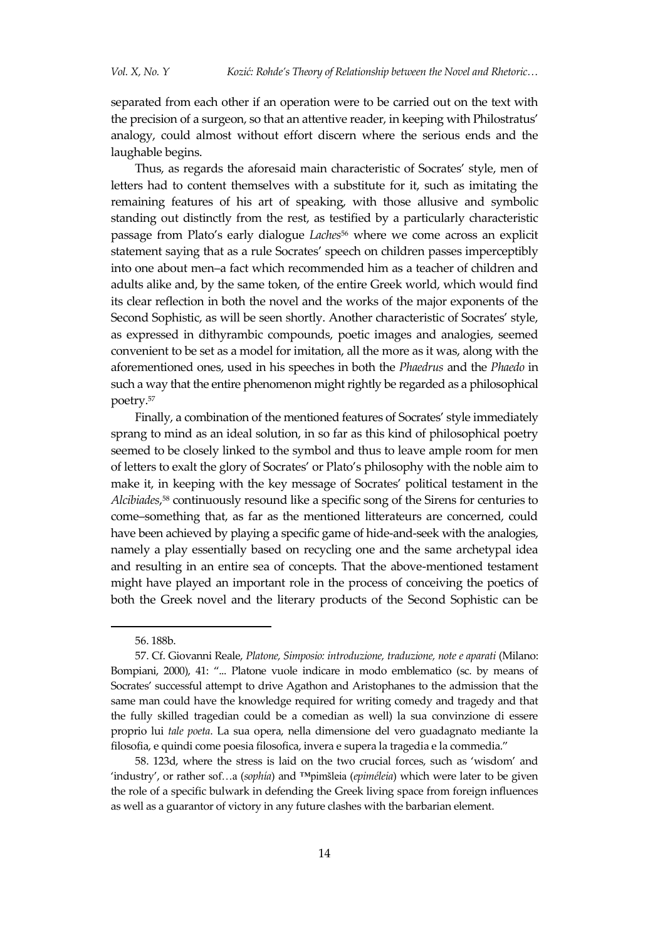separated from each other if an operation were to be carried out on the text with the precision of a surgeon, so that an attentive reader, in keeping with Philostratus' analogy, could almost without effort discern where the serious ends and the laughable begins.

Thus, as regards the aforesaid main characteristic of Socrates' style, men of letters had to content themselves with a substitute for it, such as imitating the remaining features of his art of speaking, with those allusive and symbolic standing out distinctly from the rest, as testified by a particularly characteristic passage from Plato's early dialogue *Laches*<sup>56</sup> where we come across an explicit statement saying that as a rule Socrates' speech on children passes imperceptibly into one about men–a fact which recommended him as a teacher of children and adults alike and, by the same token, of the entire Greek world, which would find its clear reflection in both the novel and the works of the major exponents of the Second Sophistic, as will be seen shortly. Another characteristic of Socrates' style, as expressed in dithyrambic compounds, poetic images and analogies, seemed convenient to be set as a model for imitation, all the more as it was, along with the aforementioned ones, used in his speeches in both the *Phaedrus* and the *Phaedo* in such a way that the entire phenomenon might rightly be regarded as a philosophical poetry.<sup>57</sup>

Finally, a combination of the mentioned features of Socrates' style immediately sprang to mind as an ideal solution, in so far as this kind of philosophical poetry seemed to be closely linked to the symbol and thus to leave ample room for men of letters to exalt the glory of Socrates' or Plato's philosophy with the noble aim to make it, in keeping with the key message of Socrates' political testament in the *Alcibiades*, <sup>58</sup> continuously resound like a specific song of the Sirens for centuries to come–something that, as far as the mentioned litterateurs are concerned, could have been achieved by playing a specific game of hide-and-seek with the analogies, namely a play essentially based on recycling one and the same archetypal idea and resulting in an entire sea of concepts. That the above-mentioned testament might have played an important role in the process of conceiving the poetics of both the Greek novel and the literary products of the Second Sophistic can be

1

<sup>56.</sup> 188b.

<sup>57.</sup> Cf. Giovanni Reale, *Platone, Simposio: introduzione, traduzione, note e aparati* (Milano: Bompiani, 2000), 41: "... Platone vuole indicare in modo emblematico (sc. by means of Socrates' successful attempt to drive Agathon and Aristophanes to the admission that the same man could have the knowledge required for writing comedy and tragedy and that the fully skilled tragedian could be a comedian as well) la sua convinzione di essere proprio lui *tale poeta*. La sua opera, nella dimensione del vero guadagnato mediante la filosofia, e quindi come poesia filosofica, invera e supera la tragedia e la commedia."

<sup>58</sup>. 123d, where the stress is laid on the two crucial forces, such as 'wisdom' and 'industry', or rather sof…a (*sophía*) and ™pimšleia (*epiméleia*) which were later to be given the role of a specific bulwark in defending the Greek living space from foreign influences as well as a guarantor of victory in any future clashes with the barbarian element.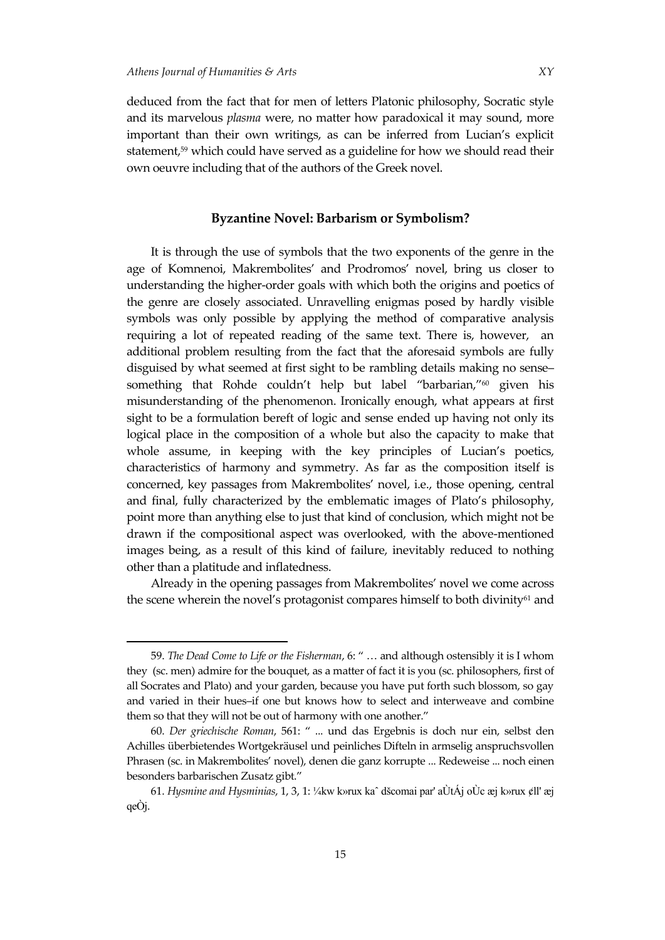deduced from the fact that for men of letters Platonic philosophy, Socratic style and its marvelous *plasma* were, no matter how paradoxical it may sound, more important than their own writings, as can be inferred from Lucian's explicit statement,<sup>59</sup> which could have served as a guideline for how we should read their own oeuvre including that of the authors of the Greek novel.

#### **Byzantine Novel: Barbarism or Symbolism?**

It is through the use of symbols that the two exponents of the genre in the age of Komnenoi, Makrembolites' and Prodromos' novel, bring us closer to understanding the higher-order goals with which both the origins and poetics of the genre are closely associated. Unravelling enigmas posed by hardly visible symbols was only possible by applying the method of comparative analysis requiring a lot of repeated reading of the same text. There is, however, an additional problem resulting from the fact that the aforesaid symbols are fully disguised by what seemed at first sight to be rambling details making no sense– something that Rohde couldn't help but label "barbarian,"<sup>60</sup> given his misunderstanding of the phenomenon. Ironically enough, what appears at first sight to be a formulation bereft of logic and sense ended up having not only its logical place in the composition of a whole but also the capacity to make that whole assume, in keeping with the key principles of Lucian's poetics, characteristics of harmony and symmetry. As far as the composition itself is concerned, key passages from Makrembolites' novel, i.e., those opening, central and final, fully characterized by the emblematic images of Plato's philosophy, point more than anything else to just that kind of conclusion, which might not be drawn if the compositional aspect was overlooked, with the above-mentioned images being, as a result of this kind of failure, inevitably reduced to nothing other than a platitude and inflatedness.

Already in the opening passages from Makrembolites' novel we come across the scene wherein the novel's protagonist compares himself to both divinity<sup>61</sup> and

<sup>59.</sup> *The Dead Come to Life or the Fisherman*, 6: " … and although ostensibly it is I whom they (sc. men) admire for the bouquet, as a matter of fact it is you (sc. philosophers, first of all Socrates and Plato) and your garden, because you have put forth such blossom, so gay and varied in their hues–if one but knows how to select and interweave and combine them so that they will not be out of harmony with one another."

<sup>60.</sup> *Der griechische Roman*, 561: " ... und das Ergebnis is doch nur ein, selbst den Achilles überbietendes Wortgekräusel und peinliches Difteln in armselig anspruchsvollen Phrasen (sc. in Makrembolites' novel), denen die ganz korrupte ... Redeweise ... noch einen besonders barbarischen Zusatz gibt."

<sup>61.</sup> *Hysmine and Hysminias*, 1, 3, 1: ¼kw k»rux kaˆ dšcomai par' aÙtÁj oÙc æj k»rux ¢ll' æj qeÒj.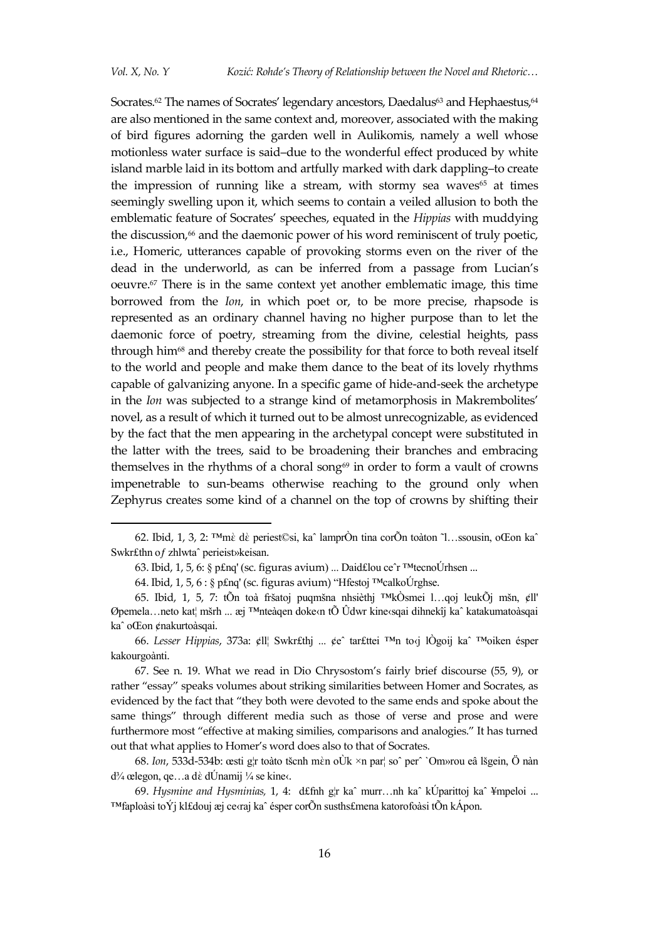Socrates.<sup>62</sup> The names of Socrates' legendary ancestors, Daedalus<sup>63</sup> and Hephaestus,<sup>64</sup> are also mentioned in the same context and, moreover, associated with the making of bird figures adorning the garden well in Aulikomis, namely a well whose motionless water surface is said–due to the wonderful effect produced by white island marble laid in its bottom and artfully marked with dark dappling–to create the impression of running like a stream, with stormy sea waves<sup>65</sup> at times seemingly swelling upon it, which seems to contain a veiled allusion to both the emblematic feature of Socrates' speeches, equated in the *Hippias* with muddying the discussion,<sup>66</sup> and the daemonic power of his word reminiscent of truly poetic, i.e., Homeric, utterances capable of provoking storms even on the river of the dead in the underworld, as can be inferred from a passage from Lucian's oeuvre.<sup>67</sup> There is in the same context yet another emblematic image, this time borrowed from the *Ion*, in which poet or, to be more precise, rhapsode is represented as an ordinary channel having no higher purpose than to let the daemonic force of poetry, streaming from the divine, celestial heights, pass through him<sup>68</sup> and thereby create the possibility for that force to both reveal itself to the world and people and make them dance to the beat of its lovely rhythms capable of galvanizing anyone. In a specific game of hide-and-seek the archetype in the *Ion* was subjected to a strange kind of metamorphosis in Makrembolites' novel, as a result of which it turned out to be almost unrecognizable, as evidenced by the fact that the men appearing in the archetypal concept were substituted in the latter with the trees, said to be broadening their branches and embracing themselves in the rhythms of a choral song $69$  in order to form a vault of crowns impenetrable to sun-beams otherwise reaching to the ground only when Zephyrus creates some kind of a channel on the top of crowns by shifting their

68. *Ion*, 533d-534b: œsti g¦r toàto tšcnh mὲn oÙk ×n par¦ soˆ perˆ `Om»rou eâ lšgein, Ö nàn  $d^{3}/4$  œlegon, qe…a dè dÚnamij ¼ se kine‹.

69. *Hysmine and Hysminias,* 1, 4: d£fnh g¦r kaˆ murr…nh kaˆ kÚparittoj kaˆ ¥mpeloi ... ™faploàsi toÝj kl£douj æj ce‹raj kaˆ ésper corÕn susths£mena katorofoàsi tÕn kÁpon.

<sup>62.</sup> Ibid, 1, 3, 2: ™mὲ dὲ periest©si, kaˆ lamprÒn tina corÕn toàton ˜l…ssousin, oŒon kaˆ Swkr£thn oƒ zhlwtaˆ perieist»keisan.

<sup>63.</sup> Ibid, 1, 5, 6: § p£nq' (sc. figuras avium) ... Daid£lou ceˆr ™tecnoÚrhsen ...

<sup>64.</sup> Ibid, 1, 5, 6 : § p£nq' (sc. figuras avium) "Hfestoj ™calkoÚrghse.

<sup>65.</sup> Ibid, 1, 5, 7: tÕn toà fršatoj puqmšna nhsièthj ™kÒsmei l…qoj leukÕj mšn, ¢ll' Øpemela…neto kat¦ mšrh ... æj ™nteàqen doke‹n tÕ Ûdwr kine‹sqai dihnekîj kaˆ katakumatoàsqai kaˆ oŒon ¢nakurtoàsqai.

<sup>66.</sup> *Lesser Hippias*, 373а: ¢ll¦ Swkr£thj ... ¢eˆ tar£ttei ™n to‹j lÒgoij kaˆ ™oiken ésper kakourgoànti.

<sup>67.</sup> See n. 19. What we read in Dio Chrysostom's fairly brief discourse (55, 9), or rather "essay" speaks volumes about striking similarities between Homer and Socrates, as evidenced by the fact that "they both were devoted to the same ends and spoke about the same things" through different media such as those of verse and prose and were furthermore most "effective at making similies, comparisons and analogies." It has turned out that what applies to Homer's word does also to that of Socrates.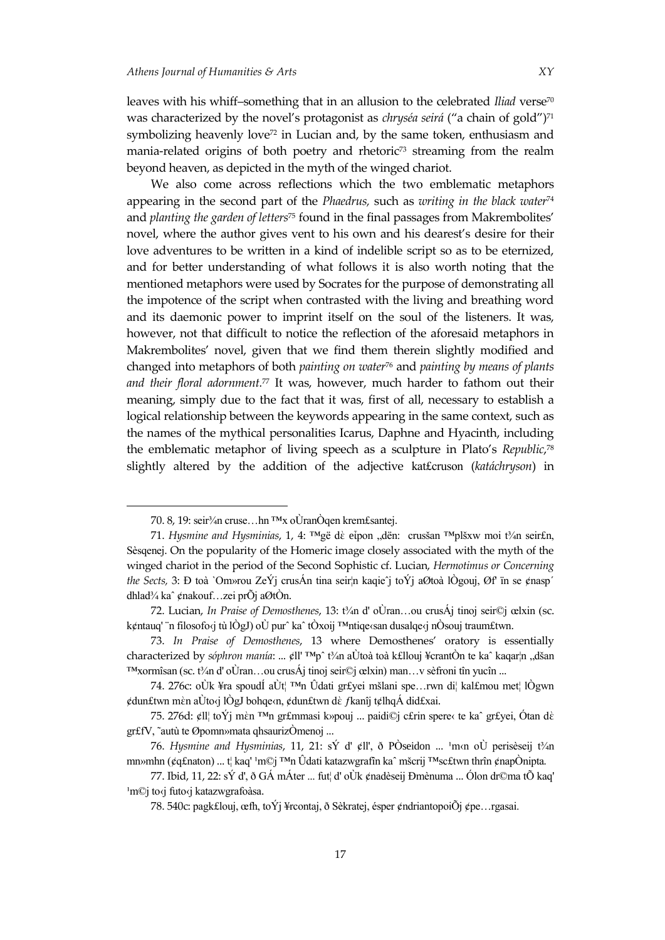leaves with his whiff-something that in an allusion to the celebrated *Iliad* verse<sup>70</sup> was characterized by the novel's protagonist as *chryséa seirá* ("a chain of gold")<sup>71</sup> symbolizing heavenly love<sup>72</sup> in Lucian and, by the same token, enthusiasm and mania-related origins of both poetry and rhetoric<sup>73</sup> streaming from the realm beyond heaven, as depicted in the myth of the winged chariot.

We also come across reflections which the two emblematic metaphors appearing in the second part of the *Phaedrus,* such as *writing in the black water*<sup>74</sup> and *planting the garden of letters*<sup>75</sup> found in the final passages from Makrembolites' novel, where the author gives vent to his own and his dearest's desire for their love adventures to be written in a kind of indelible script so as to be eternized, and for better understanding of what follows it is also worth noting that the mentioned metaphors were used by Socrates for the purpose of demonstrating all the impotence of the script when contrasted with the living and breathing word and its daemonic power to imprint itself on the soul of the listeners. It was, however, not that difficult to notice the reflection of the aforesaid metaphors in Makrembolites' novel, given that we find them therein slightly modified and changed into metaphors of both *painting on water*<sup>76</sup> and *painting by means of plants and their floral adornment.*<sup>77</sup> It was, however, much harder to fathom out their meaning, simply due to the fact that it was, first of all, necessary to establish a logical relationship between the keywords appearing in the same context, such as the names of the mythical personalities Icarus, Daphne and Hyacinth, including the emblematic metaphor of living speech as a sculpture in Plato's *Republic*, 78 slightly altered by the addition of the adjective kat£cruson (*katáchryson*) in

<sup>70.</sup> 8, 19: seir¾n cruse…hn ™x oÙranÒqen krem£santej.

<sup>71.</sup> *Hysmine and Hysminias*, 1, 4: <sup>™</sup>gë dè ei̇̃pon "dën: crusšan ™plšxw moi t¼n seir£n, Sèsqenej. On the popularity of the Homeric image closely associated with the myth of the winged chariot in the period of the Second Sophistic cf. Lucian, *Hermotimus or Concerning the Sects,* 3: Ð toà `Om»rou ZeÝj crusÁn tina seir¦n kaqieˆj toÝj aØtoà lÒgouj, Øf' ïn se ¢nasp´ dhlad¾ kaˆ ¢nakouf…zei prÕj aØtÒn.

<sup>72.</sup> Lucian, *In Praise of Demosthenes*, 13: t¾n d' oÙran…ou crusÁj tinoj seir©j œlxin (sc. k¢ntauq' ¨n filosofo‹j tù lÒgJ) oÙ purˆ kaˆ tÒxoij ™ntiqe‹san dusalqe‹j nÒsouj traum£twn.

<sup>73.</sup> *In Praise of Demosthenes*, 13 where Demosthenes' oratory is essentially characterized by *sóphron manía*: ... ¢ll' ™pˆ t¾n aÙtoà toà k£llouj ¥crantÒn te kaˆ kaqar¦n "dšan ™xormîsan (sc. t¾n d' oÙran…ou crusÁj tinoj seir©j œlxin) man…v sèfroni tîn yucîn ...

<sup>74. 276</sup>c: oÙk ¥ra spoudÍ aÙt¦ ™n Ûdati gr£yei mšlani spe…rwn di¦ kal£mou met¦ lÒgwn ¢dun£twn mὲn aÙto‹j lÒgJ bohqe‹n, ¢dun£twn dὲ ƒkanîj t¢lhqÁ did£xai.

<sup>75. 276</sup>d: ¢ll¦ toÝj mὲn ™n gr£mmasi k»pouj ... paidi©j c£rin spere‹ te kaˆ gr£yei, Ótan dὲ gr£fV, ˜autù te Øpomn»mata qhsaurizÒmenoj ...

<sup>76.</sup> Hysmine and Hysminias, 11, 21: sÝ d' ¢ll', ð PÒseidon ... <sup>1</sup>m‹n oÙ perisèseij t¼n mn»mhn (¢q£naton) ... t¦ kaq' <sup>1</sup>m©j ™n Ùdati katazwgrafîn ka^ mšcrij ™sc£twn thrîn ¢napÒnipta.

<sup>77.</sup> Ibid, 11, 22: sÝ d', ð GÁ mÁter ... fut¦ d' oÙk ¢nadèseij Ðmènuma ... Ólon dr©ma tÕ kaq' <sup>1</sup>m©j to‹j futo‹j katazwgrafoàsa.

<sup>78. 540</sup>c: pagk£louj, œfh, toÝj ¥rcontaj, ð Sèkratej, ésper ¢ndriantopoiÕj ¢pe…rgasai.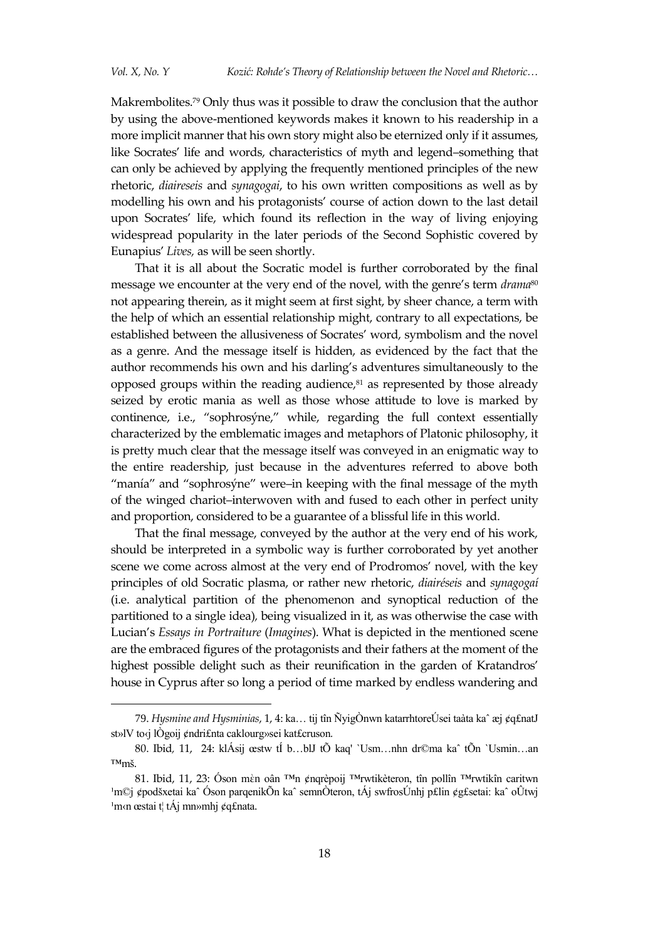1

Makrembolites.<sup>79</sup> Only thus was it possible to draw the conclusion that the author by using the above-mentioned keywords makes it known to his readership in a more implicit manner that his own story might also be eternized only if it assumes, like Socrates' life and words, characteristics of myth and legend–something that can only be achieved by applying the frequently mentioned principles of the new rhetoric, *diaireseis* and *synagogai*, to his own written compositions as well as by modelling his own and his protagonists' course of action down to the last detail upon Socrates' life, which found its reflection in the way of living enjoying widespread popularity in the later periods of the Second Sophistic covered by Eunapius' *Lives,* as will be seen shortly.

That it is all about the Socratic model is further corroborated by the final message we encounter at the very end of the novel, with the genre's term *drama*<sup>80</sup> not appearing therein, as it might seem at first sight, by sheer chance, a term with the help of which an essential relationship might, contrary to all expectations, be established between the allusiveness of Socrates' word, symbolism and the novel as a genre. And the message itself is hidden, as evidenced by the fact that the author recommends his own and his darling's adventures simultaneously to the opposed groups within the reading audience, $81$  as represented by those already seized by erotic mania as well as those whose attitude to love is marked by continence, i.e., "sophrosýne," while, regarding the full context essentially characterized by the emblematic images and metaphors of Platonic philosophy, it is pretty much clear that the message itself was conveyed in an enigmatic way to the entire readership, just because in the adventures referred to above both "manía" and "sophrosýne" were–in keeping with the final message of the myth of the winged chariot–interwoven with and fused to each other in perfect unity and proportion, considered to be a guarantee of a blissful life in this world.

That the final message, conveyed by the author at the very end of his work, should be interpreted in a symbolic way is further corroborated by yet another scene we come across almost at the very end of Prodromos' novel, with the key principles of old Socratic plasma, or rather new rhetoric, *diairéseis* and *synagogaí* (i.e. analytical partition of the phenomenon and synoptical reduction of the partitioned to a single idea)*,* being visualized in it, as was otherwise the case with Lucian's *Essays in Portraiture* (*Imagines*). What is depicted in the mentioned scene are the embraced figures of the protagonists and their fathers at the moment of the highest possible delight such as their reunification in the garden of Kratandros' house in Cyprus after so long a period of time marked by endless wandering and

<sup>79.</sup> *Hysmine and Hysminias*, 1, 4: ka… tij tîn ÑyigÒnwn katarrhtoreÚsei taàta kaˆ æj ¢q£natJ st»lV to‹j lÒgoij ¢ndri£nta caklourg»sei kat£cruson*.*

<sup>80.</sup> Ibid*,* 11, 24: klÁsij œstw tÍ b…blJ tÕ kaq' `Usm…nhn dr©ma kaˆ tÕn `Usmin…an ™mš.

<sup>81.</sup> Ibid, 11, 23: Óson mὲn oân ™n ¢nqrèpoij ™rwtikèteron, tîn pollîn ™rwtikîn caritwn <sup>1</sup>m©j ¢podšxetai ka^ Óson parqenikÕn ka^ semnÒteron, tÁj swfrosÚnhj p£lin ¢g£setai: ka^ oÛtwj <sup>1</sup>m‹n œstai t¦ tÁj mn»mhj ¢q£nata.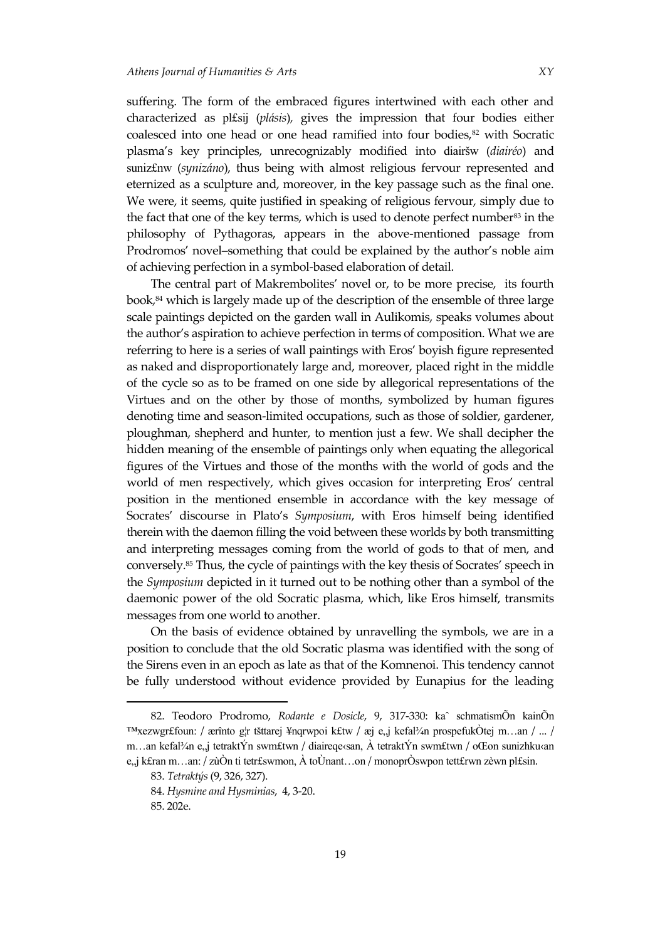suffering. The form of the embraced figures intertwined with each other and characterized as pl£sij (*plásis*)*,* gives the impression that four bodies either coalesced into one head or one head ramified into four bodies,<sup>82</sup> with Socratic plasma's key principles, unrecognizably modified into diairšw (*diairéo*) and suniz£nw (*synizáno*), thus being with almost religious fervour represented and eternized as a sculpture and, moreover, in the key passage such as the final one. We were, it seems, quite justified in speaking of religious fervour, simply due to the fact that one of the key terms, which is used to denote perfect number<sup>83</sup> in the philosophy of Pythagoras, appears in the above-mentioned passage from Prodromos' novel–something that could be explained by the author's noble aim of achieving perfection in a symbol-based elaboration of detail.

The central part of Makrembolites' novel or, to be more precise, its fourth book,<sup>84</sup> which is largely made up of the description of the ensemble of three large scale paintings depicted on the garden wall in Aulikomis, speaks volumes about the author's aspiration to achieve perfection in terms of composition. What we are referring to here is a series of wall paintings with Eros' boyish figure represented as naked and disproportionately large and, moreover, placed right in the middle of the cycle so as to be framed on one side by allegorical representations of the Virtues and on the other by those of months, symbolized by human figures denoting time and season-limited occupations, such as those of soldier, gardener, ploughman, shepherd and hunter, to mention just a few. We shall decipher the hidden meaning of the ensemble of paintings only when equating the allegorical figures of the Virtues and those of the months with the world of gods and the world of men respectively, which gives occasion for interpreting Eros' central position in the mentioned ensemble in accordance with the key message of Socrates' discourse in Plato's *Symposium*, with Eros himself being identified therein with the daemon filling the void between these worlds by both transmitting and interpreting messages coming from the world of gods to that of men, and conversely.<sup>85</sup> Thus, the cycle of paintings with the key thesis of Socrates' speech in the *Symposium* depicted in it turned out to be nothing other than a symbol of the daemonic power of the old Socratic plasma, which, like Eros himself, transmits messages from one world to another.

On the basis of evidence obtained by unravelling the symbols, we are in a position to conclude that the old Socratic plasma was identified with the song of the Sirens even in an epoch as late as that of the Komnenoi. This tendency cannot be fully understood without evidence provided by Eunapius for the leading

<sup>82.</sup> Teodoro Prodromo, *Rodante e Dosicle*, 9, 317-330: kaˆ schmatismÕn kainÕn <sup>™</sup>xezwgr£foun: / ærînto g¦r tšttarej ¥nqrwpoi k£tw / æj e,,j kefal¾n prospefukÒtej m…an / ... / m...an kefal¾n e, j tetraktÝn swm£twn / diaireqe‹san, À tetraktÝn swm£twn / oŒon sunizhku‹an e"j k£ran m…an: / zùÒn ti tetr£swmon, À toÙnant…on / monoprÒswpon tett£rwn zèwn pl£sin.

<sup>83.</sup> *Tetraktýs* (9, 326, 327).

<sup>84.</sup> *Hysmine and Hysminias*, 4, 3-20.

<sup>85.</sup> 202e.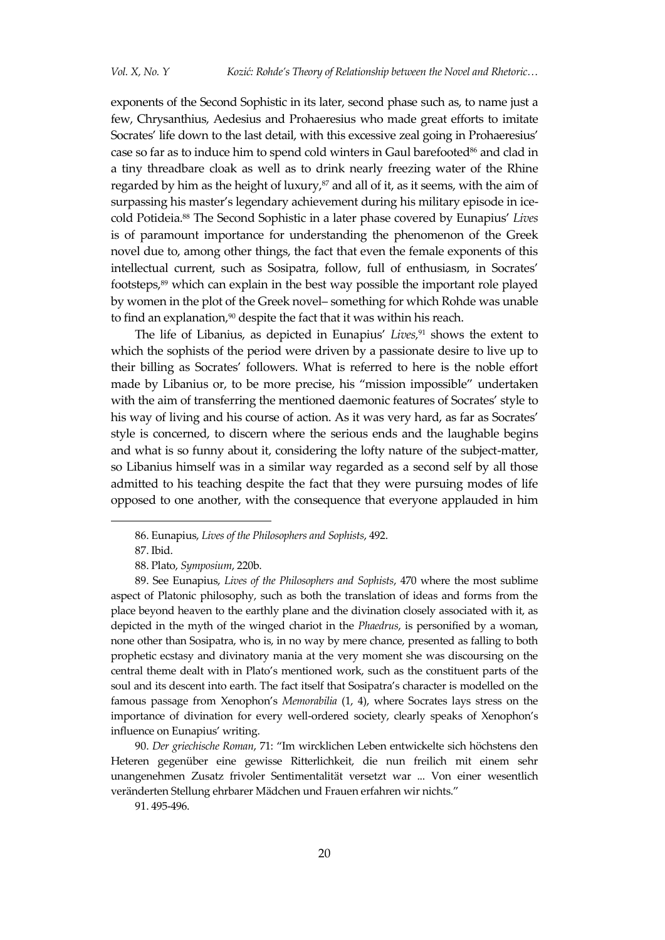exponents of the Second Sophistic in its later, second phase such as, to name just a few, Chrysanthius, Aedesius and Prohaeresius who made great efforts to imitate Socrates' life down to the last detail, with this excessive zeal going in Prohaeresius' case so far as to induce him to spend cold winters in Gaul barefooted<sup>86</sup> and clad in a tiny threadbare cloak as well as to drink nearly freezing water of the Rhine regarded by him as the height of luxury, $s^7$  and all of it, as it seems, with the aim of surpassing his master's legendary achievement during his military episode in icecold Potideia.<sup>88</sup> The Second Sophistic in a later phase covered by Eunapius' *Lives*  is of paramount importance for understanding the phenomenon of the Greek novel due to, among other things, the fact that even the female exponents of this intellectual current, such as Sosipatra, follow, full of enthusiasm, in Socrates' footsteps,<sup>89</sup> which can explain in the best way possible the important role played by women in the plot of the Greek novel– something for which Rohde was unable to find an explanation,<sup>90</sup> despite the fact that it was within his reach.

The life of Libanius, as depicted in Eunapius' *Lives,*<sup>91</sup> shows the extent to which the sophists of the period were driven by a passionate desire to live up to their billing as Socrates' followers. What is referred to here is the noble effort made by Libanius or, to be more precise, his "mission impossible" undertaken with the aim of transferring the mentioned daemonic features of Socrates' style to his way of living and his course of action. As it was very hard, as far as Socrates' style is concerned, to discern where the serious ends and the laughable begins and what is so funny about it, considering the lofty nature of the subject-matter, so Libanius himself was in a similar way regarded as a second self by all those admitted to his teaching despite the fact that they were pursuing modes of life opposed to one another, with the consequence that everyone applauded in him

<sup>86.</sup> Eunapius, *Lives of the Philosophers and Sophists*, 492.

<sup>87.</sup> Ibid.

<sup>88.</sup> Plato, *Symposium*, 220b.

<sup>89.</sup> See Eunapius, *Lives of the Philosophers and Sophists*, 470 where the most sublime aspect of Platonic philosophy, such as both the translation of ideas and forms from the place beyond heaven to the earthly plane and the divination closely associated with it, as depicted in the myth of the winged chariot in the *Phaedrus*, is personified by a woman, none other than Sosipatra, who is, in no way by mere chance, presented as falling to both prophetic ecstasy and divinatory mania at the very moment she was discoursing on the central theme dealt with in Plato's mentioned work, such as the constituent parts of the soul and its descent into earth. The fact itself that Sosipatra's character is modelled on the famous passage from Xenophon's *Memorabilia* (1, 4), where Socrates lays stress on the importance of divination for every well-ordered society, clearly speaks of Xenophon's influence on Eunapius' writing.

<sup>90.</sup> *Der griechische Roman*, 71: "Im wircklichen Leben entwickelte sich höchstens den Heteren gegenüber eine gewisse Ritterlichkeit, die nun freilich mit einem sehr unangenehmen Zusatz frivoler Sentimentalität versetzt war ... Von einer wesentlich veränderten Stellung ehrbarer Mädchen und Frauen erfahren wir nichts."

<sup>91.</sup> 495-496.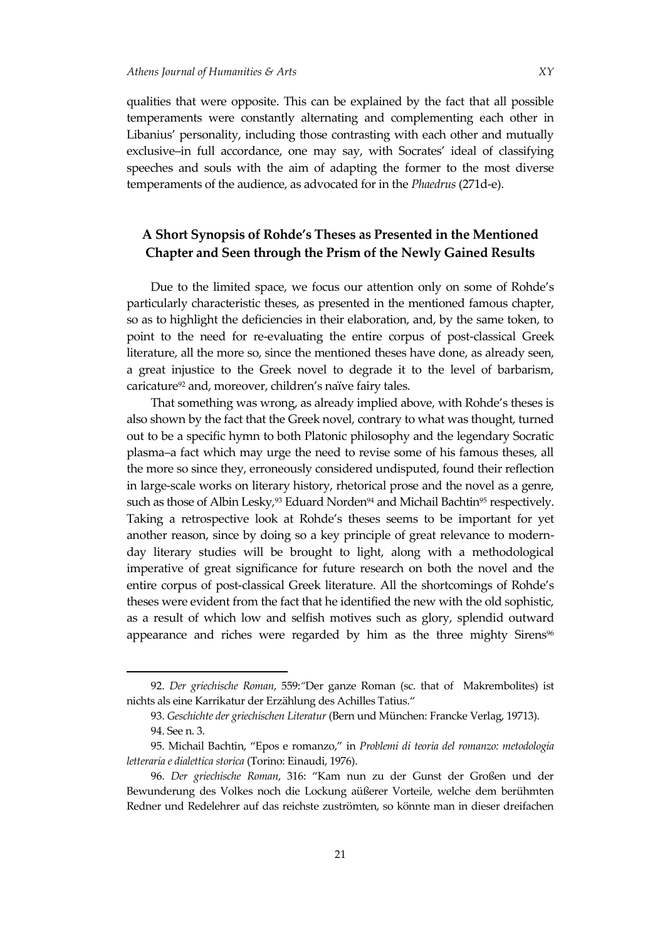qualities that were opposite. This can be explained by the fact that all possible temperaments were constantly alternating and complementing each other in Libanius' personality, including those contrasting with each other and mutually exclusive–in full accordance, one may say, with Socrates' ideal of classifying speeches and souls with the aim of adapting the former to the most diverse temperaments of the audience, as advocated for in the *Phaedrus* (271d-e).

### **A Short Synopsis of Rohde's Theses as Presented in the Mentioned Chapter and Seen through the Prism of the Newly Gained Results**

Due to the limited space, we focus our attention only on some of Rohde's particularly characteristic theses, as presented in the mentioned famous chapter, so as to highlight the deficiencies in their elaboration, and, by the same token, to point to the need for re-evaluating the entire corpus of post-classical Greek literature, all the more so, since the mentioned theses have done, as already seen, a great injustice to the Greek novel to degrade it to the level of barbarism, caricature<sup>92</sup> and, moreover, children's naïve fairy tales.

That something was wrong, as already implied above, with Rohde's theses is also shown by the fact that the Greek novel, contrary to what was thought, turned out to be a specific hymn to both Platonic philosophy and the legendary Socratic plasma–a fact which may urge the need to revise some of his famous theses, all the more so since they, erroneously considered undisputed, found their reflection in large-scale works on literary history, rhetorical prose and the novel as a genre, such as those of Albin Lesky,<sup>93</sup> Eduard Norden<sup>94</sup> and Michail Bachtin<sup>95</sup> respectively. Taking a retrospective look at Rohde's theses seems to be important for yet another reason, since by doing so a key principle of great relevance to modernday literary studies will be brought to light, along with a methodological imperative of great significance for future research on both the novel and the entire corpus of post-classical Greek literature. All the shortcomings of Rohde's theses were evident from the fact that he identified the new with the old sophistic, as a result of which low and selfish motives such as glory, splendid outward appearance and riches were regarded by him as the three mighty Sirens<sup>96</sup>

<sup>92.</sup> *Der griechische Roman*, 559:*"*Der ganze Roman (sc. that of Makrembolites) ist nichts als eine Karrikatur der Erzählung des Achilles Tatius."

<sup>93.</sup> *Geschichte der griechischen Literatur* (Bern und München: Francke Verlag, 19713).

<sup>94.</sup> See n. 3.

<sup>95.</sup> Michail Bachtin, "Epos e romanzo," in *Problemi di teoria del romanzo: metodologia letteraria e dialettica storica* (Torino: Einaudi, 1976).

<sup>96.</sup> *Der griechische Roman*, 316: "Kam nun zu der Gunst der Großen und der Bewunderung des Volkes noch die Lockung aüßerer Vorteile, welche dem berühmten Redner und Redelehrer auf das reichste zuströmten, so könnte man in dieser dreifachen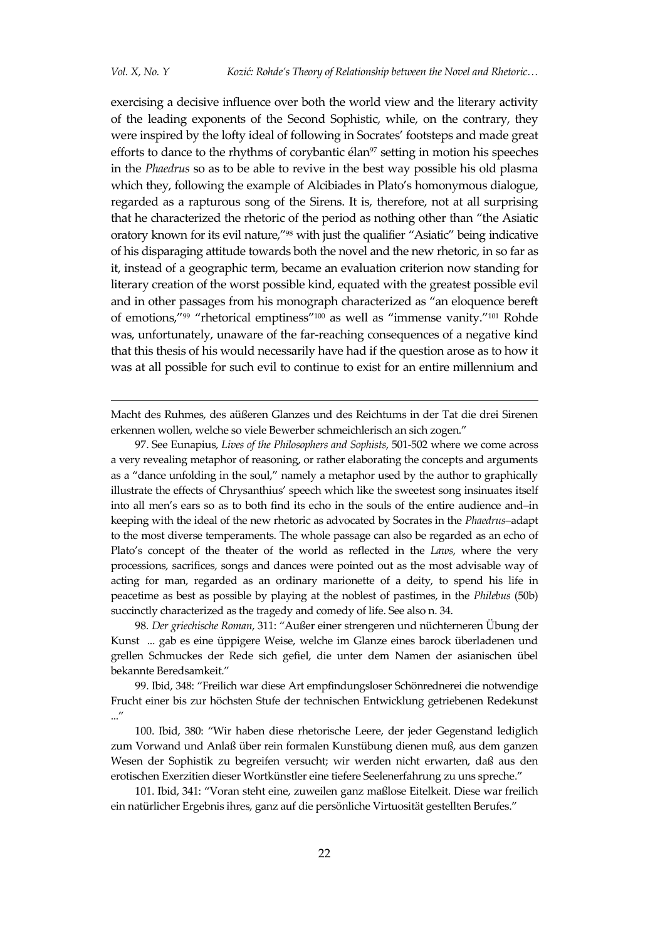-

exercising a decisive influence over both the world view and the literary activity of the leading exponents of the Second Sophistic, while, on the contrary, they were inspired by the lofty ideal of following in Socrates' footsteps and made great efforts to dance to the rhythms of corybantic élan<sup>97</sup> setting in motion his speeches in the *Phaedrus* so as to be able to revive in the best way possible his old plasma which they, following the example of Alcibiades in Plato's homonymous dialogue, regarded as a rapturous song of the Sirens. It is, therefore, not at all surprising that he characterized the rhetoric of the period as nothing other than "the Asiatic oratory known for its evil nature,"<sup>98</sup> with just the qualifier "Asiatic" being indicative of his disparaging attitude towards both the novel and the new rhetoric, in so far as it, instead of a geographic term, became an evaluation criterion now standing for literary creation of the worst possible kind, equated with the greatest possible evil and in other passages from his monograph characterized as "an eloquence bereft of emotions,"<sup>99</sup> "rhetorical emptiness"<sup>100</sup> as well as "immense vanity."<sup>101</sup> Rohde was, unfortunately, unaware of the far-reaching consequences of a negative kind that this thesis of his would necessarily have had if the question arose as to how it was at all possible for such evil to continue to exist for an entire millennium and

Macht des Ruhmes, des aüßeren Glanzes und des Reichtums in der Tat die drei Sirenen erkennen wollen, welche so viele Bewerber schmeichlerisch an sich zogen."

97. See Eunapius, *Lives of the Philosophers and Sophists*, 501-502 where we come across a very revealing metaphor of reasoning, or rather elaborating the concepts and arguments as a "dance unfolding in the soul," namely a metaphor used by the author to graphically illustrate the effects of Chrysanthius' speech which like the sweetest song insinuates itself into all men's ears so as to both find its echo in the souls of the entire audience and–in keeping with the ideal of the new rhetoric as advocated by Socrates in the *Phaedrus*–adapt to the most diverse temperaments. The whole passage can also be regarded as an echo of Plato's concept of the theater of the world as reflected in the *Laws*, where the very processions, sacrifices, songs and dances were pointed out as the most advisable way of acting for man, regarded as an ordinary marionette of a deity, to spend his life in peacetime as best as possible by playing at the noblest of pastimes, in the *Philebus* (50b) succinctly characterized as the tragedy and comedy of life. See also n. 34.

98*. Der griechische Roman*, 311: "Außer einer strengeren und nüchterneren Übung der Kunst ... gab es eine üppigere Weise, welche im Glanze eines barock überladenen und grellen Schmuckes der Rede sich gefiel, die unter dem Namen der asianischen übel bekannte Beredsamkeit."

99. Ibid, 348: "Freilich war diese Art empfindungsloser Schönrednerei die notwendige Frucht einer bis zur höchsten Stufe der technischen Entwicklung getriebenen Redekunst ..."

100. Ibid, 380: "Wir haben diese rhetorische Leere, der jeder Gegenstand lediglich zum Vorwand und Anlaß über rein formalen Kunstübung dienen muß, aus dem ganzen Wesen der Sophistik zu begreifen versucht; wir werden nicht erwarten, daß aus den erotischen Exerzitien dieser Wortkünstler eine tiefere Seelenerfahrung zu uns spreche."

101. Ibid, 341: "Voran steht eine, zuweilen ganz maßlose Eitelkeit. Diese war freilich ein natürlicher Ergebnis ihres, ganz auf die persönliche Virtuosität gestellten Berufes."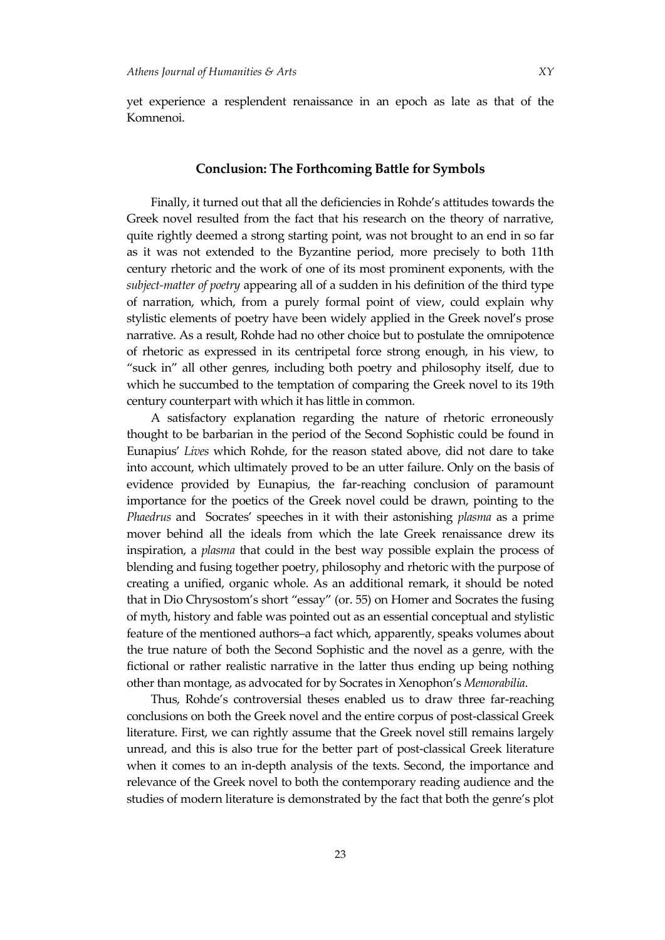yet experience a resplendent renaissance in an epoch as late as that of the Komnenoi.

#### **Conclusion: The Forthcoming Battle for Symbols**

Finally, it turned out that all the deficiencies in Rohde's attitudes towards the Greek novel resulted from the fact that his research on the theory of narrative, quite rightly deemed a strong starting point, was not brought to an end in so far as it was not extended to the Byzantine period, more precisely to both 11th century rhetoric and the work of one of its most prominent exponents, with the *subject-matter of poetry* appearing all of a sudden in his definition of the third type of narration, which, from a purely formal point of view, could explain why stylistic elements of poetry have been widely applied in the Greek novel's prose narrative. As a result, Rohde had no other choice but to postulate the omnipotence of rhetoric as expressed in its centripetal force strong enough, in his view, to "suck in" all other genres, including both poetry and philosophy itself, due to which he succumbed to the temptation of comparing the Greek novel to its 19th century counterpart with which it has little in common.

A satisfactory explanation regarding the nature of rhetoric erroneously thought to be barbarian in the period of the Second Sophistic could be found in Eunapius' *Lives* which Rohde, for the reason stated above, did not dare to take into account, which ultimately proved to be an utter failure. Only on the basis of evidence provided by Eunapius, the far-reaching conclusion of paramount importance for the poetics of the Greek novel could be drawn, pointing to the *Phaedrus* and Socrates' speeches in it with their astonishing *plasma* as a prime mover behind all the ideals from which the late Greek renaissance drew its inspiration, a *plasma* that could in the best way possible explain the process of blending and fusing together poetry, philosophy and rhetoric with the purpose of creating a unified, organic whole. As an additional remark, it should be noted that in Dio Chrysostom's short "essay" (or. 55) on Homer and Socrates the fusing of myth, history and fable was pointed out as an essential conceptual and stylistic feature of the mentioned authors–a fact which, apparently, speaks volumes about the true nature of both the Second Sophistic and the novel as a genre, with the fictional or rather realistic narrative in the latter thus ending up being nothing other than montage, as advocated for by Socrates in Xenophon's *Memorabilia*.

Thus, Rohde's controversial theses enabled us to draw three far-reaching conclusions on both the Greek novel and the entire corpus of post-classical Greek literature. First, we can rightly assume that the Greek novel still remains largely unread, and this is also true for the better part of post-classical Greek literature when it comes to an in-depth analysis of the texts. Second, the importance and relevance of the Greek novel to both the contemporary reading audience and the studies of modern literature is demonstrated by the fact that both the genre's plot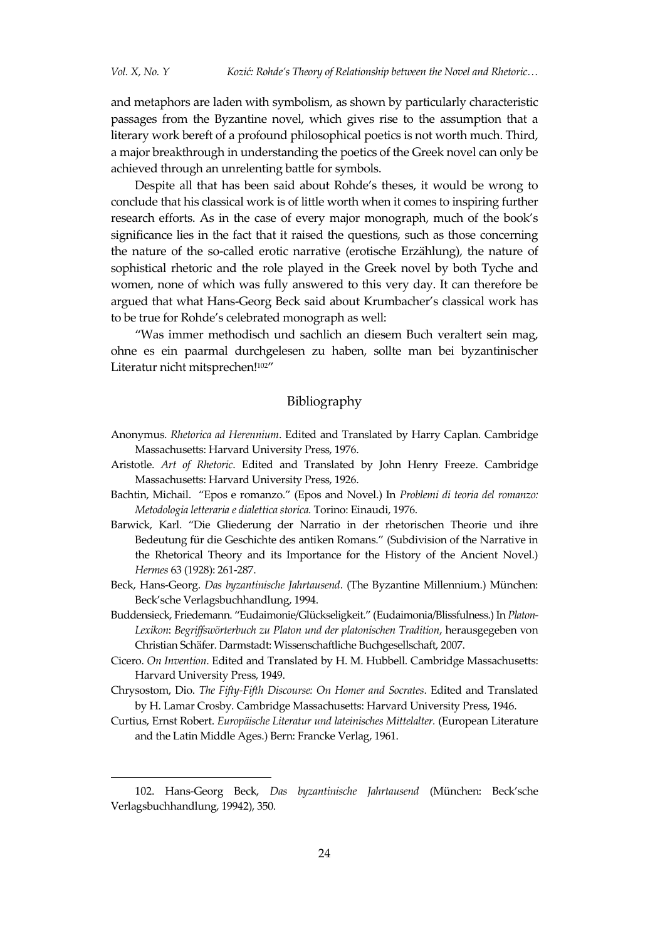and metaphors are laden with symbolism, as shown by particularly characteristic passages from the Byzantine novel, which gives rise to the assumption that a literary work bereft of a profound philosophical poetics is not worth much. Third, a major breakthrough in understanding the poetics of the Greek novel can only be achieved through an unrelenting battle for symbols.

Despite all that has been said about Rohde's theses, it would be wrong to conclude that his classical work is of little worth when it comes to inspiring further research efforts. As in the case of every major monograph, much of the book's significance lies in the fact that it raised the questions, such as those concerning the nature of the so-called erotic narrative (erotische Erzählung), the nature of sophistical rhetoric and the role played in the Greek novel by both Tyche and women, none of which was fully answered to this very day. It can therefore be argued that what Hans-Georg Beck said about Krumbacher's classical work has to be true for Rohde's celebrated monograph as well:

"Was immer methodisch und sachlich an diesem Buch veraltert sein mag, ohne es ein paarmal durchgelesen zu haben, sollte man bei byzantinischer Literatur nicht mitsprechen!<sup>102"</sup>

### Bibliography

- Anonymus. *Rhetorica ad Herennium*. Edited and Translated by Harry Caplan. Cambridge Massachusetts: Harvard University Press, 1976.
- Aristotle. *Art of Rhetoric*. Edited and Translated by John Henry Freeze. Cambridge Massachusetts: Harvard University Press, 1926.
- Bachtin, Michail. "Epos e romanzo." (Epos and Novel.) In *Problemi di teoria del romanzo: Metodologia letteraria e dialettica storica.* Torino: Einaudi, 1976.
- Barwick, Karl. "Die Gliederung der Narratio in der rhetorischen Theorie und ihre Bedeutung für die Geschichte des antiken Romans." (Subdivision of the Narrative in the Rhetorical Theory and its Importance for the History of the Ancient Novel.) *Hermes* 63 (1928): 261-287.
- Beck, Hans-Georg. *Das byzantinische Jahrtausend*. (The Byzantine Millennium.) München: Beck'sche Verlagsbuchhandlung, 1994.
- Buddensieck, Friedemann. "Eudaimonie/Glückseligkeit." (Eudaimonia/Blissfulness.) In *Platon-Lexikon*: *Begriffswörterbuch zu Platon und der platonischen Tradition*, herausgegeben von Christian Schäfer. Darmstadt: Wissenschaftliche Buchgesellschaft, 2007.
- Cicero. *On Invention*. Edited and Translated by H. M. Hubbell. Cambridge Massachusetts: Harvard University Press, 1949.
- Chrysostom, Dio. *The Fifty-Fifth Discourse: On Homer and Socrates*. Edited and Translated by H. Lamar Crosby. Cambridge Massachusetts: Harvard University Press, 1946.
- Curtius, Ernst Robert. *Europäische Literatur und lateinisches Mittelalter.* (European Literature and the Latin Middle Ages.) Bern: Francke Verlag, 1961.

<sup>102.</sup> Hans-Georg Beck, *Das byzantinische Jahrtausend* (München: Beck'sche Verlagsbuchhandlung, 19942), 350.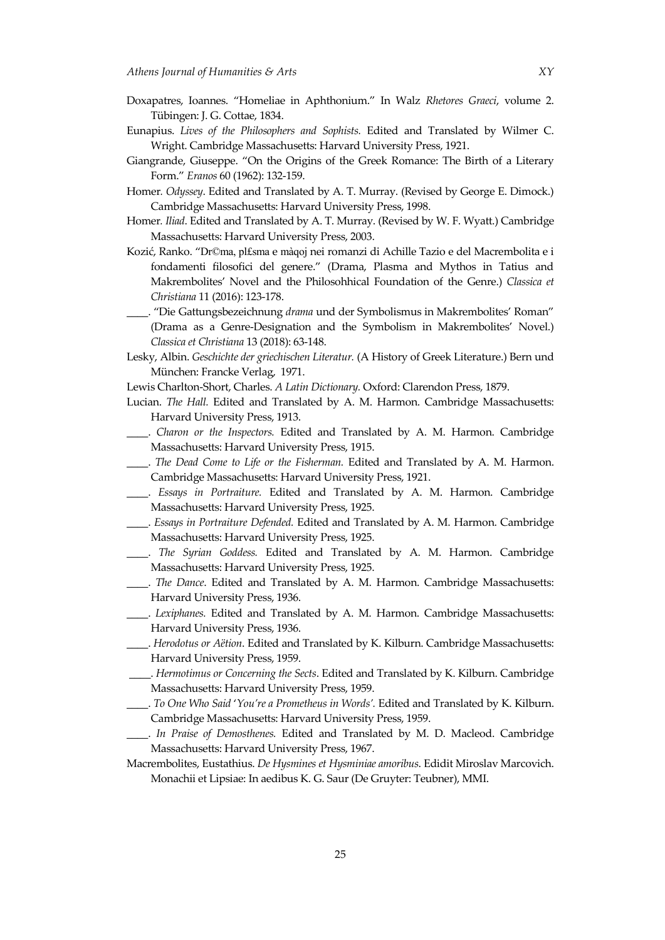- Doxapatres, Ioannes. "Homeliae in Aphthonium." In Walz *Rhetores Graeci*, volume 2. Tübingen: J. G. Cottae, 1834.
- Eunapius. *Lives of the Philosophers and Sophists.* Edited and Translated by Wilmer C. Wright. Cambridge Massachusetts: Harvard University Press, 1921.
- Giangrande, Giuseppe. "On the Origins of the Greek Romance: The Birth of a Literary Form." *Eranos* 60 (1962): 132-159.
- Homer*. Odyssey*. Edited and Translated by A. T. Murray. (Revised by George E. Dimock.) Cambridge Massachusetts: Harvard University Press, 1998.
- Homer*. Iliad*. Edited and Translated by A. T. Murray. (Revised by W. F. Wyatt.) Cambridge Massachusetts: Harvard University Press, 2003.
- Kozić, Ranko. "Dr©ma, pl£sma e màqoj nei romanzi di Achille Tazio e del Macrembolita e i fondamenti filosofici del genere." (Drama, Plasma and Mythos in Tatius and Makrembolites' Novel and the Philosohhical Foundation of the Genre.) *Classica et Christiana* 11 (2016): 123-178.
- \_\_\_\_. "Die Gattungsbezeichnung *drama* und der Symbolismus in Makrembolites' Roman" (Drama as a Genre-Designation and the Symbolism in Makrembolites' Novel.) *Classica et Christiana* 13 (2018): 63-148.
- Lesky, Albin. *Geschichte der griechischen Literatur.* (A History of Greek Literature.) Bern und München: Francke Verlag, 1971.
- Lewis Charlton-Short, Charles. *A Latin Dictionary.* Oxford: Clarendon Press, 1879.
- Lucian. *The Hall.* Edited and Translated by A. M. Harmon. Cambridge Massachusetts: Harvard University Press, 1913.
- \_\_\_\_. *Charon or the Inspectors.* Edited and Translated by A. M. Harmon. Cambridge Massachusetts: Harvard University Press, 1915.
- \_\_\_\_. *The Dead Come to Life or the Fisherman.* Edited and Translated by A. M. Harmon. Cambridge Massachusetts: Harvard University Press, 1921.
- \_\_\_\_. *Essays in Portraiture.* Edited and Translated by A. M. Harmon. Cambridge Massachusetts: Harvard University Press, 1925.
- \_\_\_\_. *Essays in Portraiture Defended.* Edited and Translated by A. M. Harmon. Cambridge Massachusetts: Harvard University Press, 1925.
- \_\_\_\_. *The Syrian Goddess.* Edited and Translated by A. M. Harmon. Cambridge Massachusetts: Harvard University Press, 1925.
- \_\_\_\_. *The Dance*. Edited and Translated by A. M. Harmon. Cambridge Massachusetts: Harvard University Press, 1936.
- \_\_\_\_. *Lexiphanes.* Edited and Translated by A. M. Harmon. Cambridge Massachusetts: Harvard University Press, 1936.
- \_\_\_\_. *Herodotus or Aëtion*. Edited and Translated by K. Kilburn. Cambridge Massachusetts: Harvard University Press, 1959.
- \_\_\_\_. *Hermotimus or Concerning the Sects*. Edited and Translated by K. Kilburn. Cambridge Massachusetts: Harvard University Press, 1959.
- \_\_\_\_. *To One Who Said* '*You're a Prometheus in Words'.* Edited and Translated by K. Kilburn. Cambridge Massachusetts: Harvard University Press, 1959.
- \_\_\_\_. *In Praise of Demosthenes.* Edited and Translated by M. D. Macleod. Cambridge Massachusetts: Harvard University Press, 1967.
- Macrembolites, Eustathius. *De Hysmines et Hysminiae amoribus*. Edidit Miroslav Marcovich. Monachii et Lipsiae: In aedibus K. G. Saur (De Gruyter: Teubner), MMI.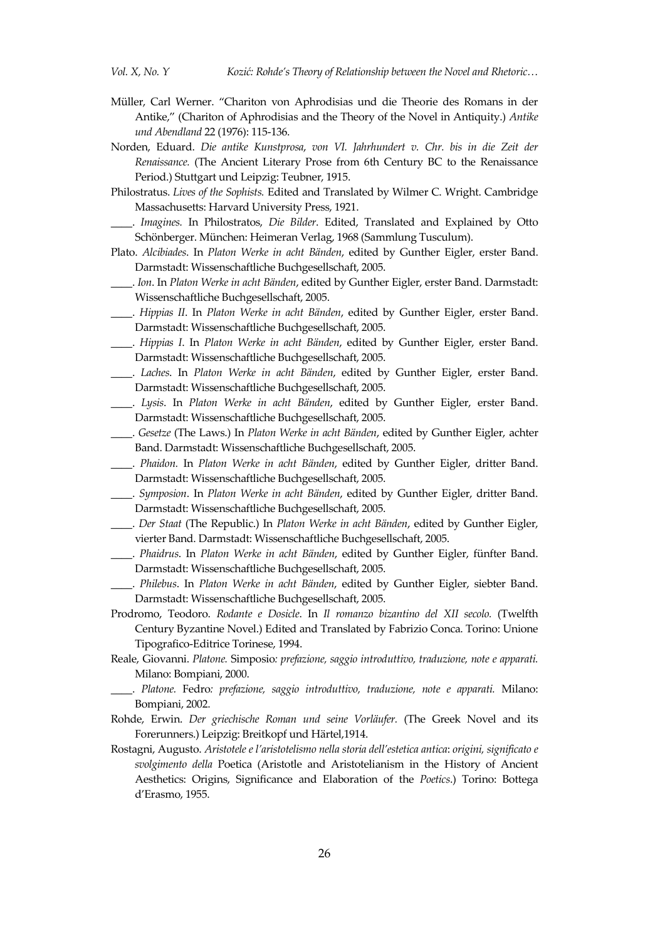- Müller, Carl Werner. "Chariton von Aphrodisias und die Theorie des Romans in der Antike," (Chariton of Aphrodisias and the Theory of the Novel in Antiquity.) *Antike und Abendland* 22 (1976): 115-136.
- Norden, Eduard. *Die antike Kunstprosa*, *von VI. Jahrhundert v. Chr. bis in die Zeit der Renaissance.* (The Ancient Literary Prose from 6th Century BC to the Renaissance Period.) Stuttgart und Leipzig: Teubner, 1915.
- Philostratus. *Lives of the Sophists.* Edited and Translated by Wilmer C. Wright. Cambridge Massachusetts: Harvard University Press, 1921.
- \_\_\_\_. *Imagines.* In Philostratos, *Die Bilder*. Edited, Translated and Explained by Otto Schönberger. München: Heimeran Verlag, 1968 (Sammlung Tusculum).
- Plato. *Alcibiades*. In *Platon Werke in acht Bänden*, edited by Gunther Eigler, erster Band. Darmstadt: Wissenschaftliche Buchgesellschaft, 2005.
- \_\_\_\_. *Ion*. In *Platon Werke in acht Bänden*, edited by Gunther Eigler, erster Band. Darmstadt: Wissenschaftliche Buchgesellschaft, 2005.
- \_\_\_\_. *Hippias II*. In *Platon Werke in acht Bänden*, edited by Gunther Eigler, erster Band. Darmstadt: Wissenschaftliche Buchgesellschaft, 2005.
- \_\_\_\_. *Hippias I*. In *Platon Werke in acht Bänden*, edited by Gunther Eigler, erster Band. Darmstadt: Wissenschaftliche Buchgesellschaft, 2005.
- \_\_\_\_. *Laches*. In *Platon Werke in acht Bänden*, edited by Gunther Eigler, erster Band. Darmstadt: Wissenschaftliche Buchgesellschaft, 2005.
- \_\_\_\_. *Lysis*. In *Platon Werke in acht Bänden*, edited by Gunther Eigler, erster Band. Darmstadt: Wissenschaftliche Buchgesellschaft, 2005.
- \_\_\_\_. *Gesetze* (The Laws.) In *Platon Werke in acht Bänden*, edited by Gunther Eigler, achter Band. Darmstadt: Wissenschaftliche Buchgesellschaft, 2005.

\_\_\_\_. *Phaidon.* In *Platon Werke in acht Bänden*, edited by Gunther Eigler, dritter Band. Darmstadt: Wissenschaftliche Buchgesellschaft, 2005.

- \_\_\_\_. *Symposion*. In *Platon Werke in acht Bänden*, edited by Gunther Eigler, dritter Band. Darmstadt: Wissenschaftliche Buchgesellschaft, 2005.
- \_\_\_\_. *Der Staat* (The Republic.) In *Platon Werke in acht Bänden*, edited by Gunther Eigler, vierter Band. Darmstadt: Wissenschaftliche Buchgesellschaft, 2005.
- \_\_\_\_. *Phaidrus*. In *Platon Werke in acht Bänden*, edited by Gunther Eigler, fünfter Band. Darmstadt: Wissenschaftliche Buchgesellschaft, 2005.
- \_\_\_\_. *Philebus*. In *Platon Werke in acht Bänden*, edited by Gunther Eigler, siebter Band. Darmstadt: Wissenschaftliche Buchgesellschaft, 2005.
- Prodromo, Teodoro. *Rodante e Dosicle*. In *Il romanzo bizantino del XII secolo.* (Twelfth Century Byzantine Novel.) Edited and Translated by Fabrizio Conca. Torino: Unione Tipografico-Editrice Torinese, 1994.
- Reale, Giovanni. *Platone.* Simposio*: prefazione, saggio introduttivo, traduzione, note e apparati.*  Milano: Bompiani, 2000.
- \_\_\_\_. *Platone.* Fedro*: prefazione, saggio introduttivo, traduzione, note e apparati.* Milano: Bompiani, 2002.
- Rohde, Erwin. *Der griechische Roman und seine Vorläufer.* (The Greek Novel and its Forerunners.) Leipzig: Breitkopf und Härtel,1914.
- Rostagni, Augusto. *Aristotele e l'aristotelismo nella storia dell'estetica antica*: *origini, significato e svolgimento della* Poetica (Aristotle and Aristotelianism in the History of Ancient Aesthetics: Origins, Significance and Elaboration of the *Poetics*.) Torino: Bottega d'Erasmo, 1955.